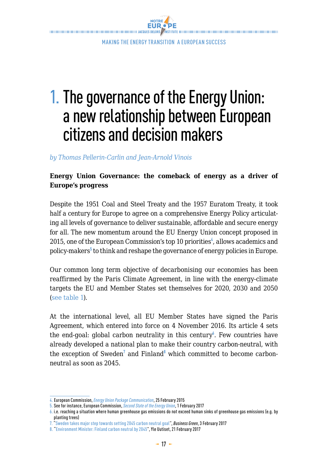

# 1.The governance of the Energy Union: a new relationship between European citizens and decision makers

*by Thomas Pellerin-Carlin and Jean-Arnold Vinois* 

## **Energy Union Governance: the comeback of energy as a driver of Europe's progress**

Despite the 1951 Coal and Steel Treaty and the 1957 Euratom Treaty, it took half a century for Europe to agree on a comprehensive Energy Policy articulating all levels of governance to deliver sustainable, affordable and secure energy for all. The new momentum around the EU Energy Union concept proposed in 2015, one of the European Commission's top 10 priorities<sup>4</sup>, allows academics and policy-makers**<sup>5</sup>** to think and reshape the governance of energy policies in Europe.

Our common long term objective of decarbonising our economies has been reaffirmed by the Paris Climate Agreement, in line with the energy-climate targets the EU and Member States set themselves for 2020, 2030 and 2050 (see table 1).

At the international level, all EU Member States have signed the Paris Agreement, which entered into force on 4 November 2016. Its article 4 sets the end-goal: global carbon neutrality in this century<sup>6</sup>. Few countries have already developed a national plan to make their country carbon-neutral, with the exception of Sweden<sup>7</sup> and Finland<sup>8</sup> which committed to become carbonneutral as soon as 2045.

<sup>4.</sup> European Commission, *[Energy Union Package Communication](http://eur-lex.europa.eu/resource.html?uri=cellar:1bd46c90-bdd4-11e4-bbe1-01aa75ed71a1.0001.03/DOC_1&format=PDF)*, 25 February 2015

<sup>5.</sup> See for instance, European Commission, *[Second State of the Energy Union](https://ec.europa.eu/commission/sites/beta-political/files/2nd-report-state-energy-union_en.pdf)*, 1 February 2017

<sup>6.</sup> i.e. reaching a situation where human greenhouse gas emissions do not exceed human sinks of greenhouse gas emissions (e.g. by planting trees)

<sup>7.</sup> "Sweden takes major step towards setting 2045 carbon neutral goal", *Business Green*, 3 February 2017

<sup>8. &</sup>quot;Environment Minister: Finland carbon neutral by 2045", Yle Uutiset, 21 February 2017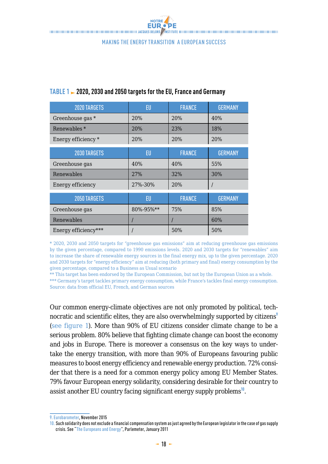

| <b>2020 TARGETS</b>     | EU        | <b>FRANCE</b> | <b>GERMANY</b> |
|-------------------------|-----------|---------------|----------------|
| Greenhouse gas *        | 20%       | 20%           | 40%            |
| Renewables <sup>*</sup> | 20%       | 23%           | 18%            |
| Energy efficiency *     | 20%       | 20%           | 20%            |
| <b>2030 TARGETS</b>     | EU        | <b>FRANCE</b> | <b>GERMANY</b> |
| Greenhouse gas          | 40%       | 40%           | 55%            |
| Renewables              | 27%       | 32%           | 30%            |
| Energy efficiency       | 27%-30%   | 20%           |                |
| 2050 TARGETS            | EU        | <b>FRANCE</b> | <b>GERMANY</b> |
| Greenhouse gas          | 80%-95%** | 75%           | 85%            |
| Renewables              |           |               | 60%            |
| Energy efficiency***    |           | 50%           | 50%            |

#### **TABLE 1 2020, 2030 and 2050 targets for the EU, France and Germany**

\* 2020, 2030 and 2050 targets for "greenhouse gas emissions" aim at reducing greenhouse gas emissions by the given percentage, compared to 1990 emissions levels. 2020 and 2030 targets for "renewables" aim to increase the share of renewable energy sources in the final energy mix, up to the given percentage. 2020 and 2030 targets for "energy efficiency" aim at reducing (both primary and final) energy consumption by the given percentage, compared to a Business as Usual scenario

\*\* This target has been endorsed by the European Commission, but not by the European Union as a whole. \*\*\* Germany's target tackles primary energy consumption, while France's tackles final energy consumption. Source: data from official EU, French, and German sources

Our common energy-climate objectives are not only promoted by political, technocratic and scientific elites, they are also overwhelmingly supported by citizens<sup>9</sup> (see figure 1). More than 90% of EU citizens consider climate change to be a serious problem. 80% believe that fighting climate change can boost the economy and jobs in Europe. There is moreover a consensus on the key ways to undertake the energy transition, with more than 90% of Europeans favouring public measures to boost energy efficiency and renewable energy production. 72% consider that there is a need for a common energy policy among EU Member States. 79% favour European energy solidarity, considering desirable for their country to assist another EU country facing significant energy supply problems**<sup>10</sup>**.

<sup>9.</sup> [Eurobarometer](https://ec.europa.eu/clima/sites/clima/files/support/docs/report_2015_en.pdf ), November 2015

<sup>10.</sup> Such solidarity does not exclude a financial compensation system as just agreed by the European legislator in the case of gas supply crisis. See "[The Europeans and Energy"](http://ec.europa.eu/public_opinion/archives/ebs/ebs_pe_74-3_synth_en.pdf ), Parlemeter, January 2011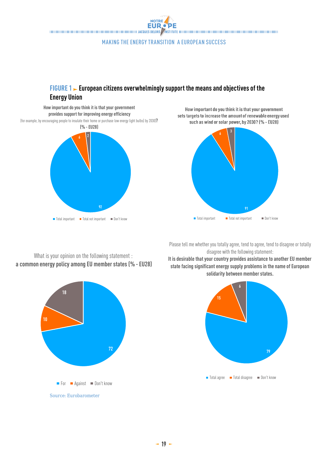NOTRE **EUR.** PE THE CONTRACT DESCRIPTION OF THE CONTRACT OF THE CONTRACT OF THE CONTRACT OF THE CONTRACT OF THE CONTRACT OF THE CONTRACT OF THE CONTRACT OF THE CONTRACT OF THE CONTRACT OF THE CONTRACT OF THE CONTRACT OF THE CONTRACT OF TH

#### Making the Energy transition a European success

## **FIGURE 1** European citizens overwhelmingly support the means and objectives of the **Energy Union**

**How important do you think it is that your government provides support for improving energy efficiency**  (for example, by encouraging people to insulate their home or purchase low energy light bulbs) by 2030)**? (% -EU28)**



How important do you think it is that your government sets targets to increase the amount of renewable energy used such as wind or solar power, by 2030? (% - EU28)



Please tell me whether you totally agree, tend to agree, tend to disagree or totally disagree with the following statement:

**It is desirable that your country provides assistance to another EU member state facing significant energy supply problems in the name of European solidarity between member states.**



What is your opinion on the following statement : **a common energy policy among EU member states (% - EU28)**

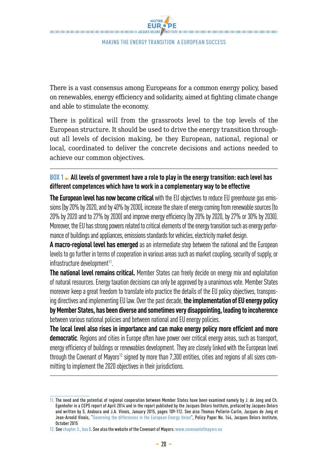There is a vast consensus among Europeans for a common energy policy, based on renewables, energy efficiency and solidarity, aimed at fighting climate change and able to stimulate the economy.

There is political will from the grassroots level to the top levels of the European structure. It should be used to drive the energy transition throughout all levels of decision making, be they European, national, regional or local, coordinated to deliver the concrete decisions and actions needed to achieve our common objectives.

## **BOX 1 All levels of government have a role to play in the energy transition: each level has different competences which have to work in a complementary way to be effective**

**The European level has now become critical** with the EU objectives to reduce EU greenhouse gas emissions (by 20% by 2020, and by 40% by 2030), increase the share of energy coming from renewable sources (to 20% by 2020 and to 27% by 2030) and improve energy efficiency (by 20% by 2020, by 27% or 30% by 2030). Moreover, the EU has strong powers related to critical elements of the energy transition such as energy performance of buildings and appliances, emissions standards for vehicles, electricity market design.

**A macro-regional level has emerged** as an intermediate step between the national and the European levels to go further in terms of cooperation in various areas such as market coupling, security of supply, or infrastructure development**<sup>11</sup>**.

**The national level remains critical.** Member States can freely decide on energy mix and exploitation of natural resources. Energy taxation decisions can only be approved by a unanimous vote. Member States moreover keep a great freedom to translate into practice the details of the EU policy objectives, transposing directives and implementing EU law. Over the past decade, **the implementation of EU energy policy by Member States, has been diverse and sometimes very disappointing, leading to incoherence**  between various national policies and between national and EU energy policies.

**The local level also rises in importance and can make energy policy more efficient and more democratic**. Regions and cities in Europe often have power over critical energy areas, such as transport, energy efficiency of buildings or renewables development. They are closely linked with the European level through the Covenant of Mayors**12** signed by more than 7,300 entities, cities and regions of all sizes committing to implement the 2020 objectives in their jurisdictions.

<sup>11.</sup> The need and the potential of regional cooperation between Member States have been examined namely by J. de Jong and Ch. Egenhofer in a CEPS report of April 2014 and in the report published by the Jacques Delors Institute, prefaced by Jacques Delors and written by S. Andoura and J.A. Vinois, January 2015, pages 109-112. See also Thomas Pellerin-Carlin, Jacques de Jong et<br>Jean-Arnold Vinois, ["Governing the differences in the European Energy Union](http://www.delorsinstitute.eu/011-22029-Governing-the-differences-in-the-European-Energy-Union.html)", Policy Paper No. 144 October 2015

<sup>12.</sup> See chapter 3., box 8. See also the website of the Covenant of Mayors: www.covenantofmayors.eu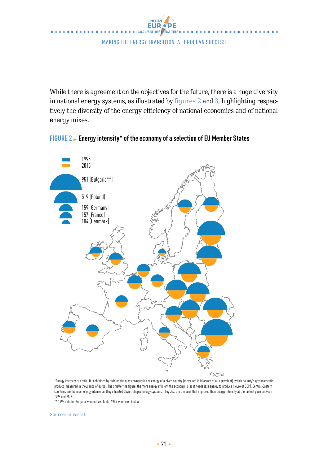

While there is agreement on the objectives for the future, there is a huge diversity in national energy systems, as illustrated by figures 2 and 3, highlighting respectively the diversity of the energy efficiency of national economies and of national energy mixes.



# **FIGURE 2 Energy intensity\* of the economy of a selection of EU Member States** Energy intensity\* of the economy of a selection of EU member states

\*Energy intensity is a ratio. It is obtained by dividing the gross comsuption of energy of a given country (measured in kilogram of oil equivalent) by this country's grossdomestic product (measured in thousands of euros). The smaller the figure, the more energy efficient the economy is (as it needs less energy to produce 1 euro of GDP). Central-Eastern countries are the most energyintense, as they inherited Soviet-shaped energy systems. They also are the ones that improved their energy intensity at the fastest pace between 1995 and 2015.

\*\* 1995 data for Bulgaria were not available. 1996 were used instead.

Source: Eurostat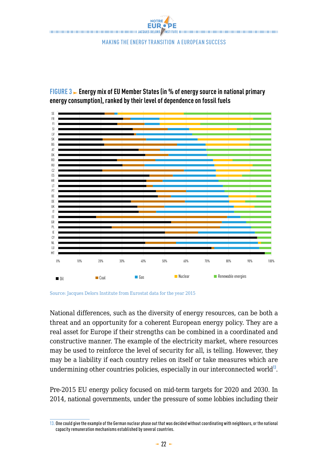

**FIGURE 3 Energy mix of EU Member States (in % of energy source in national primary energy consumption), ranked by their level of dependence on fossil fuels**



Source: Jacques Delors Institute from Eurostat data for the year 2015

National differences, such as the diversity of energy resources, can be both a undermining other countries policies, especially in our interconnected world<sup>13</sup>. may be a liability if each country relies on itself or take measures which are threat and an opportunity for a coherent European energy policy. They are a real asset for Europe if their strengths can be combined in a coordinated and constructive manner. The example of the electricity market, where resources may be used to reinforce the level of security for all, is telling. However, they

Pre-2015 EU energy policy focused on mid-term targets for 2020 and 2030. In 2014, national governments, under the pressure of some lobbies including their

<sup>13.</sup> One could give the example of the German nuclear phase out that was decided without coordinating with neighbours, or the national capacity remuneration mechanisms established by several countries.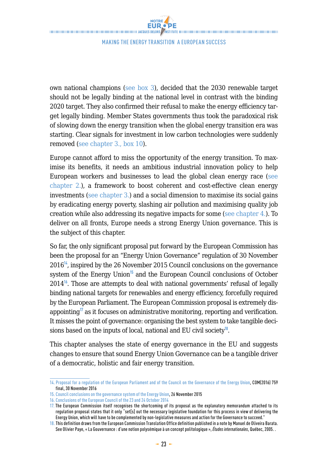own national champions (see box 3), decided that the 2030 renewable target should not be legally binding at the national level in contrast with the binding 2020 target. They also confirmed their refusal to make the energy efficiency target legally binding. Member States governments thus took the paradoxical risk of slowing down the energy transition when the global energy transition era was starting. Clear signals for investment in low carbon technologies were suddenly removed (see chapter 3., box 10).

Europe cannot afford to miss the opportunity of the energy transition. To maximise its benefits, it needs an ambitious industrial innovation policy to help European workers and businesses to lead the global clean energy race (see chapter 2.), a framework to boost coherent and cost-effective clean energy investments (see chapter 3.) and a social dimension to maximise its social gains by eradicating energy poverty, slashing air pollution and maximising quality job creation while also addressing its negative impacts for some (see chapter 4.). To deliver on all fronts, Europe needs a strong Energy Union governance. This is the subject of this chapter.

So far, the only significant proposal put forward by the European Commission has been the proposal for an "Energy Union Governance" regulation of 30 November 2016**<sup>14</sup>**, inspired by the 26 November 2015 Council conclusions on the governance system of the Energy Union<sup>15</sup> and the European Council conclusions of October 2014**<sup>16</sup>**. Those are attempts to deal with national governments' refusal of legally binding national targets for renewables and energy efficiency, forcefully required by the European Parliament. The European Commission proposal is extremely disappointing**<sup>17</sup>** as it focuses on administrative monitoring, reporting and verification. It misses the point of governance: organising the best system to take tangible decisions based on the inputs of local, national and EU civil society**<sup>18</sup>**.

This chapter analyses the state of energy governance in the EU and suggests changes to ensure that sound Energy Union Governance can be a tangible driver of a democratic, holistic and fair energy transition.

<sup>14.</sup> [Proposal for a regulation of the European Parliament and of the Council on the Governance of the Energy Union](http://ec.europa.eu/energy/sites/ener/files/documents/1_en_act_part1_v9_759.pdf), COM(2016) 759 final, 30 November 2016

<sup>15.</sup> [Council conclusions on the governance system of the Energy Union](http://www.consilium.europa.eu/en/press/press-releases/2015/11/26-conclusions-energy-union-governance/ ), 26 November 2015

<sup>16.</sup> [Conclusions of the European Council of the 23 and 24 October 2014](http://www.consilium.europa.eu/uedocs/cms_data/docs/pressdata/en/ec/145397.pdf )

<sup>17.</sup> The European Commission itself recognises the shortcoming of its proposal as the explanatory memorandum attached to its regulation proposal states that it only "set[s] out the necessary legislative foundation for this process in view of delivering the Energy Union, which will have to be complemented by non-legislative measures and action for the Governance to succeed."

<sup>18.</sup> This definition draws from the European Commission Translation Office definition published in a note by Manuel de Oliveira Barata. See Olivier Paye, «La Gouvernance : d'une notion polysémique à un concept politologique», *Études internationales*, Québec, 2005. .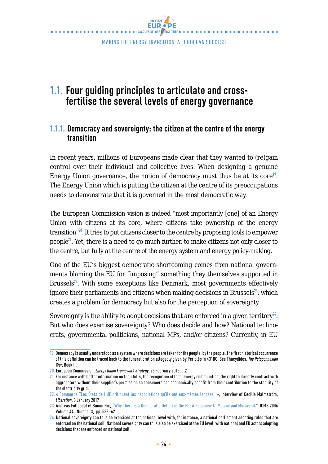**EUR.** PE THE CONTRACT DESCRIPTION OF THE CONTRACT OF THE CONTRACT OF THE CONTRACT OF THE CONTRACT OF THE CONTRACT OF THE CONTRACT OF THE CONTRACT OF THE CONTRACT OF THE CONTRACT OF THE CONTRACT OF THE CONTRACT OF THE CONTRACT OF TH

Making the Energy transition a European success

## **1.1. Four guiding principles to articulate and crossfertilise the several levels of energy governance**

## **1.1.1. Democracy and sovereignty: the citizen at the centre of the energy transition**

In recent years, millions of Europeans made clear that they wanted to (re)gain control over their individual and collective lives. When designing a genuine Energy Union governance, the notion of democracy must thus be at its core**<sup>19</sup>**. The Energy Union which is putting the citizen at the centre of its preoccupations needs to demonstrate that it is governed in the most democratic way.

The European Commission vision is indeed "most importantly [one] of an Energy Union with citizens at its core, where citizens take ownership of the energy transition"**<sup>20</sup>**. It tries to put citizens closer to the centre by proposing tools to empower people**<sup>21</sup>**. Yet, there is a need to go much further, to make citizens not only closer to the centre, but fully at the centre of the energy system and energy policy-making.

One of the EU's biggest democratic shortcoming comes from national governments blaming the EU for "imposing" something they themselves supported in Brussels**<sup>22</sup>**. With some exceptions like Denmark, most governments effectively ignore their parliaments and citizens when making decisions in Brussels**<sup>23</sup>**, which creates a problem for democracy but also for the perception of sovereignty.

Sovereignty is the ability to adopt decisions that are enforced in a given territory<sup> $24$ </sup>. But who does exercise sovereignty? Who does decide and how? National technocrats, governmental politicians, national MPs, and/or citizens? Currently, in EU

<sup>19.</sup> Democracy is usually understood as a system where decisions are taken for the people, by the people. The first historical occurrence of this definition can be traced back to the funeral oration allegedly given by Périclès in 431BC. See Thucydides, *The Peloponnesian War*, Book II.

<sup>20.</sup> European Commission, *Energy Union Framework Strategy*, 25 February 2015, p.2

<sup>21.</sup> For instance with better information on their bills, the recognition of local energy communities, the right to directly contract with aggregators without their supplier's permission so consumers can economically benefit from their contribution to the stability of the electricity grid.

<sup>22. «</sup> [Commerce "Les États de l'UE critiquent les négociations qu'ils ont eux-mêmes lancées"](http://www.liberation.fr/planete/2017/01/03/commerce-les-etats-de-l-ue-critiquent-les-negociations-qu-ils-ont-eux-memes-lancees_1538899) », interview of Cecilia Malmström, *Libération*, 3 January 2017

<sup>23.</sup> Andreas Follesdal et Simon Hix, ["Why There is a Democratic Deficit in the EU: A Response to Majone and Moravcsik"](http://personal.lse.ac.uk/hix/Working_Papers/Follesdal-Hix-JCMS-2006.pdf ) JCMS 2006 Volume 44,. Number 3,. pp. 533–62

<sup>24.</sup> National sovereignty can thus be exercised at the national level with, for instance, a national parliament adopting rules that are enforced on the national soil. National sovereignty can thus also be exercised at the EU level, with national and EU actors adopting decisions that are enforced on national soil.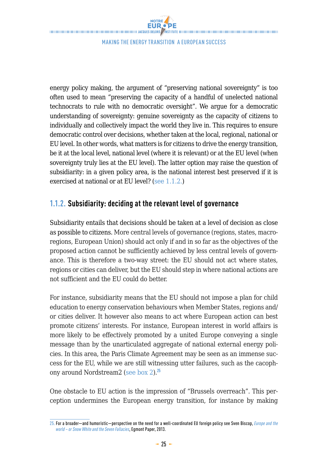energy policy making, the argument of "preserving national sovereignty" is too often used to mean "preserving the capacity of a handful of unelected national technocrats to rule with no democratic oversight". We argue for a democratic understanding of sovereignty: genuine sovereignty as the capacity of citizens to individually and collectively impact the world they live in. This requires to ensure democratic control over decisions, whether taken at the local, regional, national or EU level. In other words, what matters is for citizens to drive the energy transition, be it at the local level, national level (where it is relevant) or at the EU level (when sovereignty truly lies at the EU level). The latter option may raise the question of subsidiarity: in a given policy area, is the national interest best preserved if it is exercised at national or at EU level? (see 1.1.2.)

## **1.1.2. Subsidiarity: deciding at the relevant level of governance**

Subsidiarity entails that decisions should be taken at a level of decision as close as possible to citizens. More central levels of governance (regions, states, macroregions, European Union) should act only if and in so far as the objectives of the proposed action cannot be sufficiently achieved by less central levels of governance. This is therefore a two-way street: the EU should not act where states, regions or cities can deliver, but the EU should step in where national actions are not sufficient and the EU could do better.

For instance, subsidiarity means that the EU should not impose a plan for child education to energy conservation behaviours when Member States, regions and/ or cities deliver. It however also means to act where European action can best promote citizens' interests. For instance, European interest in world affairs is more likely to be effectively promoted by a united Europe conveying a single message than by the unarticulated aggregate of national external energy policies. In this area, the Paris Climate Agreement may be seen as an immense success for the EU, while we are still witnessing utter failures, such as the cacophony around Nordstream2 (see box 2).**<sup>25</sup>**

One obstacle to EU action is the impression of "Brussels overreach". This perception undermines the European energy transition, for instance by making

<sup>25.</sup> For a broader—and humoristic—perspective on the need for a well-coordinated EU foreign policy see Sven Biscop, *[Europe and the](http://www.egmontinstitute.be/wp-content/uploads/2013/10/ep61.pdf)  [world – or Snow White and the Seven Fallacies](http://www.egmontinstitute.be/wp-content/uploads/2013/10/ep61.pdf)*, Egmont Paper, 2013.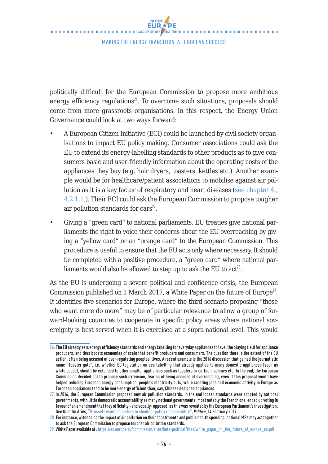politically difficult for the European Commission to propose more ambitious energy efficiency regulations<sup>26</sup>. To overcome such situations, proposals should come from more grassroots organisations. In this respect, the Energy Union Governance could look at two ways forward:

- A European Citizen Initiative (ECI) could be launched by civil society organisations to impact EU policy making. Consumer associations could ask the EU to extend its energy-labelling standards to other products as to give consumers basic and user-friendly information about the operating costs of the appliances they buy (e.g. hair dryers, toasters, kettles etc.). Another example would be for healthcare/patient associations to mobilise against air pollution as it is a key factor of respiratory and heart diseases (see chapter 4., 4.2.1.1.). Their ECI could ask the European Commission to propose tougher air pollution standards for cars**<sup>27</sup>**.
- Giving a "green card" to national parliaments. EU treaties give national parliaments the right to voice their concerns about the EU overreaching by giving a "yellow card" or an "orange card" to the European Commission. This procedure is useful to ensure that the EU acts only where necessary. It should be completed with a positive procedure, a "green card" where national parliaments would also be allowed to step up to ask the EU to  $act^{28}$ .

As the EU is undergoing a severe political and confidence crisis, the European Commission published on 1 March 2017, a White Paper on the future of Europe**<sup>29</sup>**. It identifies five scenarios for Europe, where the third scenario proposing "those who want more do more" may be of particular relevance to allow a group of forward-looking countries to cooperate in specific policy areas where national sovereignty is best served when it is exercised at a supra-national level. This would

<sup>26.</sup> The EU already sets energy efficiency standards and energy labelling for everyday appliances to level the playing field for appliance producers, and thus boosts economies of scale that benefit producers and consumers. The question there is the extent of the EU action, often being accused of over-regulating peoples' lives. A recent example is the 2016 discussion that gained the journalistic name "Toaster-gate", i.e. whether EU legislation on eco-labelling that already applies to many domestic appliances (such as white goods), should be extended to other smaller appliances such as toasters or coffee machines etc. In the end, the European Commission decided not to propose such extension, fearing of being accused of overreaching, even if this proposal would have helped reducing European energy consumption, people's electricity bills, while creating jobs and economic activity in Europe as European appliances tend to be more energy efficient than, say, Chinese designed appliances.

<sup>27.</sup> In 2016, the European Commission proposed new air pollution standards. In the end looser standards were adopted by national governments, with little democratic accountability as many national governments, most notably the French one, ended up voting in favour of an amendment that they officially –and vocally- opposed; as this was revealed by the European Parliament's investigation. See Quentin Ariès, ["Brussels wants ministers to shoulder policy responsibility](http://www.politico.eu/article/brussels-wants-ministers-to-shoulder-policy-responsibility/)", *Politico*, 14 February 2017.

<sup>28.</sup> For instance, witnessing the impact of air pollution on their constituents and public health spending, national MPs may act together to ask the European Commission to propose tougher air pollution standards.

<sup>29.</sup> White Paper available at : [https://ec.europa.eu/commission/sites/beta-political/files/white\\_paper\\_on\\_the\\_future\\_of\\_europe\\_en.pdf](https://ec.europa.eu/commission/sites/beta-political/files/white_paper_on_the_future_of_europe_en.pdf)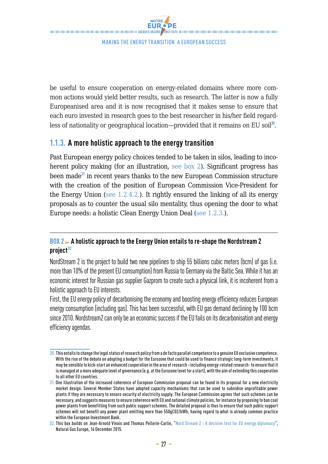be useful to ensure cooperation on energy-related domains where more common actions would yield better results, such as research. The latter is now a fully Europeanised area and it is now recognised that it makes sense to ensure that each euro invested in research goes to the best researcher in his/her field regardless of nationality or geographical location—provided that it remains on EU soil**<sup>30</sup>**.

## **1.1.3. A more holistic approach to the energy transition**

Past European energy policy choices tended to be taken in silos, leading to incoherent policy making (for an illustration, see box 2). Significant progress has been made**<sup>31</sup>** in recent years thanks to the new European Commission structure with the creation of the position of European Commission Vice-President for the Energy Union (see  $1.2.4.2$ ). It rightly ensured the linking of all its energy proposals as to counter the usual silo mentality, thus opening the door to what Europe needs: a holistic Clean Energy Union Deal (see 1.2.3.).

## **BOX 2 A holistic approach to the Energy Union entails to re-shape the Nordstream 2 project32**

NordStream 2 is the project to build two new pipelines to ship 55 billions cubic meters (bcm) of gas (i.e. more than 10% of the present EU consumption) from Russia to Germany via the Baltic Sea. While it has an economic interest for Russian gas supplier Gazprom to create such a physical link, it is incoherent from a holistic approach to EU interests.

First, the EU energy policy of decarbonising the economy and boosting energy efficiency reduces European energy consumption (including gas). This has been successful, with EU gas demand declining by 100 bcm since 2010. Nordstream2 can only be an economic success if the EU fails on its decarbonisation and energy efficiency agendas.

<sup>30.</sup> This entails to change the legal status of research policy from a de facto parallel competence to a genuine EU exclusive competence. With the rise of the debate on adopting a budget for the Eurozone that could be used to finance strategic long-term investments, it may be sensible to kick-start an enhanced cooperation in the area of research –including energy-related research- to ensure that it is managed at a more adequate level of governance (e.g. at the Eurozone level for a start), with the aim of extending this cooperation to all other EU countries.

<sup>31.</sup> One illustration of the increased coherence of European Commission proposal can be found in its proposal for a new electricity market design. Several Member States have adopted capacity mechanisms that can be used to subsidise unprofitable power plants if they are necessary to ensure security of electricity supply. The European Commission agrees that such schemes can be necessary, and suggests measures to ensure coherence with EU and national climate policies, for instance by proposing to ban coal power plants from benefitting from such public support schemes. The detailed proposal is thus to ensure that such public support schemes will not benefit any power plant emitting more than 550gC02/kWh, having regard to what is already common practice within the European Investment Bank.

<sup>32.</sup> This box builds on Jean-Arnold Vinois and Thomas Pellerin-Carlin, "[Nord Stream-2 : A decisive test for EU energy diplomacy](http://www.naturalgaseurope.com/nordstream-2-eu-energy-diplomacy-expert-27171)", Natural Gas Europe, 16 December 2015.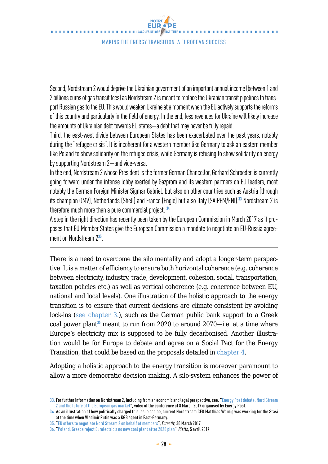NOTRE EUR PE ACCEPTE DE L'AGNOMINATION DE L'AGNOMINATION DE L'AGNOMINATION DE L'AGNOMINATION DE L'AGNOMINATION DE L'AGNOMINATION DE L'AGNOMINATION DE L'AGNOMINATION DE L'AGNOMINATION DE L'AGNOMINATION DE L'AGNOMINATION DE L'AGNO

Making the Energy transition a European success

Second, Nordstream 2 would deprive the Ukrainian government of an important annual income (between 1 and 2 billions euros of gas transit fees) as Nordstream 2 is meant to replace the Ukranian transit pipelines to transport Russian gas to the EU. This would weaken Ukraine at a moment when the EU actively supports the reforms of this country and particularly in the field of energy. In the end, less revenues for Ukraine will likely increase the amounts of Ukrainian debt towards EU states—a debt that may never be fully repaid.

Third, the east-west divide between European States has been exacerbated over the past years, notably during the "refugee crisis". It is incoherent for a western member like Germany to ask an eastern member like Poland to show solidarity on the refugee crisis, while Germany is refusing to show solidarity on energy by supporting Nordstream 2—and vice-versa.

In the end, Nordstream 2 whose President is the former German Chancellor, Gerhard Schroeder, is currently going forward under the intense lobby exerted by Gazprom and its western partners on EU leaders, most notably the German Foreign Minister Sigmar Gabriel, but also on other countries such as Austria (through its champion OMV), Netherlands (Shell) and France (Engie) but also Italy (SAIPEM/ENI).**<sup>33</sup>** Nordstream 2 is therefore much more than a pure commercial project. **<sup>34</sup>**

A step in the right direction has recently been taken by the European Commission in March 2017 as it proposes that EU Member States give the European Commission a mandate to negotiate an EU-Russia agreement on Nordstream 2**<sup>35</sup>**.

There is a need to overcome the silo mentality and adopt a longer-term perspective. It is a matter of efficiency to ensure both horizontal coherence (e.g. coherence between electricity, industry, trade, development, cohesion, social, transportation, taxation policies etc.) as well as vertical coherence (e.g. coherence between EU, national and local levels). One illustration of the holistic approach to the energy transition is to ensure that current decisions are climate-consistent by avoiding lock-ins (see chapter 3.), such as the German public bank support to a Greek coal power plant**<sup>36</sup>** meant to run from 2020 to around 2070—i.e. at a time where Europe's electricity mix is supposed to be fully decarbonised. Another illustration would be for Europe to debate and agree on a Social Pact for the Energy Transition, that could be based on the proposals detailed in chapter 4.

Adopting a holistic approach to the energy transition is moreover paramount to allow a more democratic decision making. A silo-system enhances the power of

<sup>33.</sup> For further information on Nordstream 2, including from an economic and legal perspective, see: ["Energy Post debate: Nord Stream](http://energypost.eu/nordstream2-debate-video/.)  [2 and the future of the European gas market"](http://energypost.eu/nordstream2-debate-video/.), video of the conference of 8 March 2017 organised by Energy Post.

<sup>34.</sup> As an illustration of how politically charged this issue can be, current Nordstream CEO Matthias Warnig was working for the Stasi at the time when Vladimir Putin was a KGB agent in East-Germany.

<sup>35.</sup> ["EU offers to negotiate Nord Stream 2 on behalf of members](https://www.euractiv.com/section/energy/news/eu-offers-to-negotiate-nord-stream-2-on-behalf-of-members/ )", *Euractiv*, 30 March 2017

<sup>36.</sup> ["Poland, Greece reject Eurelectric's no new coal plant after 2020 plan"](https://www.platts.com/latest-news/coal/brussels/poland-greece-reject-eurelectrics-no-new-coal-26704436 ), *Platts*, 5 avril 2017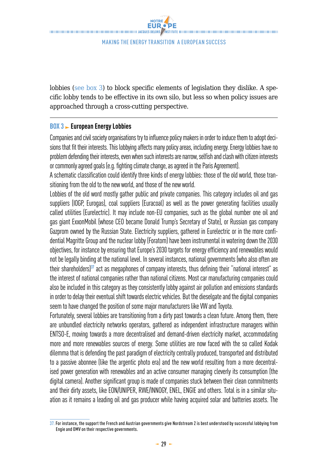lobbies (see box 3) to block specific elements of legislation they dislike. A specific lobby tends to be effective in its own silo, but less so when policy issues are approached through a cross-cutting perspective.

### **BOX 3 European Energy Lobbies**

Companies and civil society organisations try to influence policy makers in order to induce them to adopt decisions that fit their interests. This lobbying affects many policy areas, including energy. Energy lobbies have no problem defending their interests, even when such interests are narrow, selfish and clash with citizen interests or commonly agreed goals (e.g. fighting climate change, as agreed in the Paris Agreement).

A schematic classification could identify three kinds of energy lobbies: those of the old world, those transitioning from the old to the new world, and those of the new world.

Lobbies of the old word mostly gather public and private companies. This category includes oil and gas suppliers (IOGP, Eurogas), coal suppliers (Euracoal) as well as the power generating facilities usually called utilities (Eurelectric). It may include non-EU companies, such as the global number one oil and gas giant ExxonMobil (whose CEO became Donald Trump's Secretary of State), or Russian gas company Gazprom owned by the Russian State. Electricity suppliers, gathered in Eurelectric or in the more confidential Magritte Group and the nuclear lobby (Foratom) have been instrumental in watering down the 2030 objectives, for instance by ensuring that Europe's 2030 targets for energy efficiency and renewables would not be legally binding at the national level. In several instances, national governments (who also often are their shareholders)**<sup>37</sup>** act as megaphones of company interests, thus defining their "national interest" as the interest of national companies rather than national citizens. Most car manufacturing companies could also be included in this category as they consistently lobby against air pollution and emissions standards in order to delay their eventual shift towards electric vehicles. But the dieselgate and the digital companies seem to have changed the position of some major manufacturers like VW and Toyota.

Fortunately, several lobbies are transitioning from a dirty past towards a clean future. Among them, there are unbundled electricity networks operators, gathered as independent infrastructure managers within ENTSO-E, moving towards a more decentralised and demand-driven electricity market, accommodating more and more renewables sources of energy. Some utilities are now faced with the so called Kodak dilemma that is defending the past paradigm of electricity centrally produced, transported and distributed to a passive abonnee (like the argentic photo era) and the new world resulting from a more decentralised power generation with renewables and an active consumer managing cleverly its consumption (the digital camera). Another significant group is made of companies stuck between their clean commitments and their dirty assets, like EON/UNIPER, RWE/INNOGY, ENEL, ENGIE and others. Total is in a similar situation as it remains a leading oil and gas producer while having acquired solar and batteries assets. The

 $37.$  For instance, the support the French and Austrian governments give Nordstream 2 is best understood by successful lobbying from Engie and OMV on their respective governments.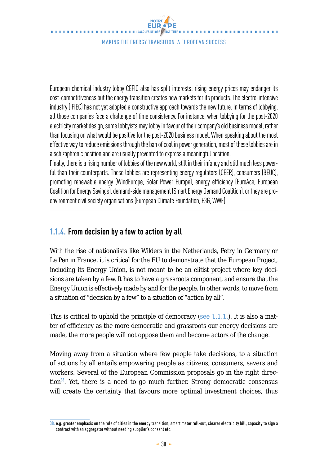European chemical industry lobby CEFIC also has split interests: rising energy prices may endanger its cost-competitiveness but the energy transition creates new markets for its products. The electro-intensive industry (IFIEC) has not yet adopted a constructive approach towards the new future. In terms of lobbying, all those companies face a challenge of time consistency. For instance, when lobbying for the post-2020 electricity market design, some lobbyists may lobby in favour of their company's old business model, rather than focusing on what would be positive for the post-2020 business model. When speaking about the most effective way to reduce emissions through the ban of coal in power generation, most of these lobbies are in a schizophrenic position and are usually prevented to express a meaningful position.

Finally, there is a rising number of lobbies of the new world, still in their infancy and still much less powerful than their counterparts. These lobbies are representing energy regulators (CEER), consumers (BEUC), promoting renewable energy (WindEurope, Solar Power Europe), energy efficiency (EuroAce, European Coalition for Energy Savings), demand-side management (Smart Energy Demand Coalition), or they are proenvironment civil society organisations (European Climate Foundation, E3G, WWF).

## **1.1.4. From decision by a few to action by all**

With the rise of nationalists like Wilders in the Netherlands, Petry in Germany or Le Pen in France, it is critical for the EU to demonstrate that the European Project, including its Energy Union, is not meant to be an elitist project where key decisions are taken by a few. It has to have a grassroots component, and ensure that the Energy Union is effectively made by and for the people. In other words, to move from a situation of "decision by a few" to a situation of "action by all".

This is critical to uphold the principle of democracy (see  $1.1.1$ .). It is also a matter of efficiency as the more democratic and grassroots our energy decisions are made, the more people will not oppose them and become actors of the change.

Moving away from a situation where few people take decisions, to a situation of actions by all entails empowering people as citizens, consumers, savers and workers. Several of the European Commission proposals go in the right direction**<sup>38</sup>**. Yet, there is a need to go much further. Strong democratic consensus will create the certainty that favours more optimal investment choices, thus

<sup>38.</sup> e.g. greater emphasis on the role of cities in the energy transition, smart meter roll-out, clearer electricity bill, capacity to sign a contract with an aggregator without needing supplier's consent etc.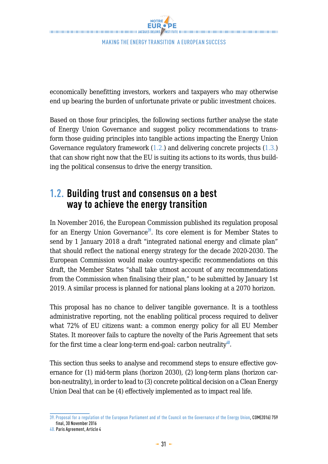economically benefitting investors, workers and taxpayers who may otherwise end up bearing the burden of unfortunate private or public investment choices.

Based on those four principles, the following sections further analyse the state of Energy Union Governance and suggest policy recommendations to transform those guiding principles into tangible actions impacting the Energy Union Governance regulatory framework (1.2.) and delivering concrete projects (1.3.) that can show right now that the EU is suiting its actions to its words, thus building the political consensus to drive the energy transition.

## **1.2. Building trust and consensus on a best way to achieve the energy transition**

In November 2016, the European Commission published its regulation proposal for an Energy Union Governance**<sup>39</sup>**. Its core element is for Member States to send by 1 January 2018 a draft "integrated national energy and climate plan" that should reflect the national energy strategy for the decade 2020-2030. The European Commission would make country-specific recommendations on this draft, the Member States "shall take utmost account of any recommendations from the Commission when finalising their plan," to be submitted by January 1st 2019. A similar process is planned for national plans looking at a 2070 horizon.

This proposal has no chance to deliver tangible governance. It is a toothless administrative reporting, not the enabling political process required to deliver what 72% of EU citizens want: a common energy policy for all EU Member States. It moreover fails to capture the novelty of the Paris Agreement that sets for the first time a clear long-term end-goal: carbon neutrality**<sup>40</sup>**.

This section thus seeks to analyse and recommend steps to ensure effective governance for (1) mid-term plans (horizon 2030), (2) long-term plans (horizon carbon-neutrality), in order to lead to (3) concrete political decision on a Clean Energy Union Deal that can be (4) effectively implemented as to impact real life.

<sup>39.</sup> [Proposal for a regulation of the European Parliament and of the Council on the Governance of the Energy Union](http://ec.europa.eu/energy/sites/ener/files/documents/1_en_act_part1_v9_759.pdf ), COM(2016) 759 final, 30 November 2016

<sup>40.</sup> Paris Agreement, Article 4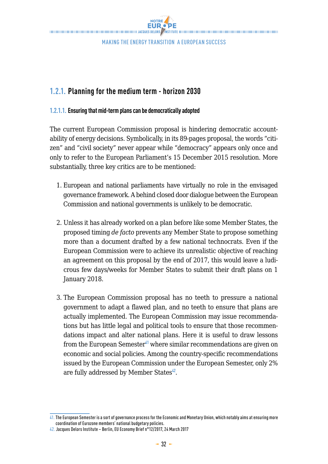

## **1.2.1. Planning for the medium term - horizon 2030**

#### **1.2.1.1. Ensuring that mid-term plans can be democratically adopted**

The current European Commission proposal is hindering democratic accountability of energy decisions. Symbolically, in its 89-pages proposal, the words "citizen" and "civil society" never appear while "democracy" appears only once and only to refer to the European Parliament's 15 December 2015 resolution. More substantially, three key critics are to be mentioned:

- 1. European and national parliaments have virtually no role in the envisaged governance framework. A behind closed door dialogue between the European Commission and national governments is unlikely to be democratic.
- 2. Unless it has already worked on a plan before like some Member States, the proposed timing *de facto* prevents any Member State to propose something more than a document drafted by a few national technocrats. Even if the European Commission were to achieve its unrealistic objective of reaching an agreement on this proposal by the end of 2017, this would leave a ludicrous few days/weeks for Member States to submit their draft plans on 1 January 2018.
- 3. The European Commission proposal has no teeth to pressure a national government to adapt a flawed plan, and no teeth to ensure that plans are actually implemented. The European Commission may issue recommendations but has little legal and political tools to ensure that those recommendations impact and alter national plans. Here it is useful to draw lessons from the European Semester**<sup>41</sup>** where similar recommendations are given on economic and social policies. Among the country-specific recommendations issued by the European Commission under the European Semester, only 2% are fully addressed by Member States**<sup>42</sup>**.

<sup>41.</sup> The European Semester is a sort of governance process for the Economic and Monetary Union, which notably aims at ensuring more coordination of Eurozone members' national budgetary policies.

<sup>42.</sup> Jacques Delors Institute – Berlin, EU Economy Brief n°12/2017, 24 March 2017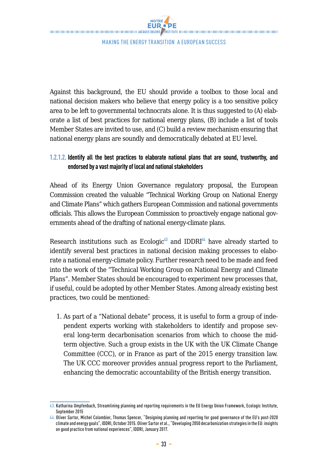Against this background, the EU should provide a toolbox to those local and national decision makers who believe that energy policy is a too sensitive policy area to be left to governmental technocrats alone. It is thus suggested to (A) elaborate a list of best practices for national energy plans, (B) include a list of tools Member States are invited to use, and (C) build a review mechanism ensuring that national energy plans are soundly and democratically debated at EU level.

## **1.2.1.2. Identify all the best practices to elaborate national plans that are sound, trustworthy, and endorsed by a vast majority of local and national stakeholders**

Ahead of its Energy Union Governance regulatory proposal, the European Commission created the valuable "Technical Working Group on National Energy and Climate Plans" which gathers European Commission and national governments officials. This allows the European Commission to proactively engage national governments ahead of the drafting of national energy-climate plans.

Research institutions such as Ecologic**<sup>43</sup>** and IDDRI**<sup>44</sup>** have already started to identify several best practices in national decision making processes to elaborate a national energy-climate policy. Further research need to be made and feed into the work of the "Technical Working Group on National Energy and Climate Plans". Member States should be encouraged to experiment new processes that, if useful, could be adopted by other Member States. Among already existing best practices, two could be mentioned:

1. As part of a "National debate" process, it is useful to form a group of independent experts working with stakeholders to identify and propose several long-term decarbonisation scenarios from which to choose the midterm objective. Such a group exists in the UK with the UK Climate Change Committee (CCC), or in France as part of the 2015 energy transition law. The UK CCC moreover provides annual progress report to the Parliament, enhancing the democratic accountability of the British energy transition.

<sup>43.</sup> Katharina Umpfenbach, Streamlining planning and reporting requirements in the EU Energy Union Framework, Ecologic Institute, September 2015

<sup>44.</sup> Oliver Sartor, Michel Colombier, Thomas Spencer, "Designing planning and reporting for good governance of the EU's post-2020<br>climate and energy goals", IDDRI, October 2015. Oliver Sartor et al., "Developing 2050 decarb on good practice from national experiences", IDDRI, January 2017.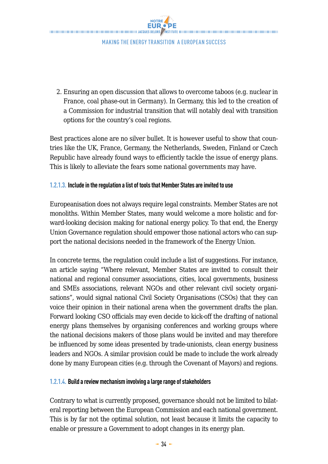NOTRE THE CONTRACT CONTRACT CONTRACT CONTRACT CONTRACT AND ACQUIS DELORS ASSEMBLE CONTRACT CONTRACT CONTRACT CONTRACT CONTRACT CONTRACT CONTRACT CONTRACT CONTRACT CONTRACT OF CONTRACT OF CONTRACT OF CONTRACT CONTRACT CONTRACT CO

Making the Energy transition a European success

2. Ensuring an open discussion that allows to overcome taboos (e.g. nuclear in France, coal phase-out in Germany). In Germany, this led to the creation of a Commission for industrial transition that will notably deal with transition options for the country's coal regions.

Best practices alone are no silver bullet. It is however useful to show that countries like the UK, France, Germany, the Netherlands, Sweden, Finland or Czech Republic have already found ways to efficiently tackle the issue of energy plans. This is likely to alleviate the fears some national governments may have.

#### **1.2.1.3. Include in the regulation a list of tools that Member States are invited to use**

Europeanisation does not always require legal constraints. Member States are not monoliths. Within Member States, many would welcome a more holistic and forward-looking decision making for national energy policy. To that end, the Energy Union Governance regulation should empower those national actors who can support the national decisions needed in the framework of the Energy Union.

In concrete terms, the regulation could include a list of suggestions. For instance, an article saying "Where relevant, Member States are invited to consult their national and regional consumer associations, cities, local governments, business and SMEs associations, relevant NGOs and other relevant civil society organisations", would signal national Civil Society Organisations (CSOs) that they can voice their opinion in their national arena when the government drafts the plan. Forward looking CSO officials may even decide to kick-off the drafting of national energy plans themselves by organising conferences and working groups where the national decisions makers of those plans would be invited and may therefore be influenced by some ideas presented by trade-unionists, clean energy business leaders and NGOs. A similar provision could be made to include the work already done by many European cities (e.g. through the Covenant of Mayors) and regions.

### **1.2.1.4. Build a review mechanism involving a large range of stakeholders**

Contrary to what is currently proposed, governance should not be limited to bilateral reporting between the European Commission and each national government. This is by far not the optimal solution, not least because it limits the capacity to enable or pressure a Government to adopt changes in its energy plan.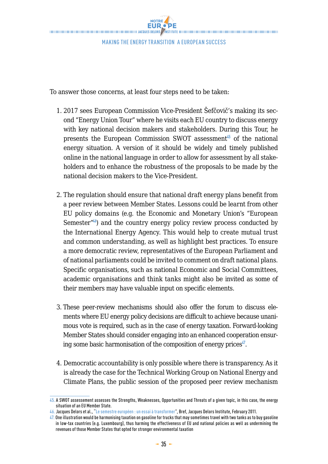To answer those concerns, at least four steps need to be taken:

- 1. 2017 sees European Commission Vice-President Šefčovič's making its second "Energy Union Tour" where he visits each EU country to discuss energy with key national decision makers and stakeholders. During this Tour, he presents the European Commission SWOT assessment**<sup>45</sup>** of the national energy situation. A version of it should be widely and timely published online in the national language in order to allow for assessment by all stakeholders and to enhance the robustness of the proposals to be made by the national decision makers to the Vice-President.
- 2. The regulation should ensure that national draft energy plans benefit from a peer review between Member States. Lessons could be learnt from other EU policy domains (e.g. the Economic and Monetary Union's "European Semester $^{\prime\prime(6)}$  and the country energy policy review process conducted by the International Energy Agency. This would help to create mutual trust and common understanding, as well as highlight best practices. To ensure a more democratic review, representatives of the European Parliament and of national parliaments could be invited to comment on draft national plans. Specific organisations, such as national Economic and Social Committees, academic organisations and think tanks might also be invited as some of their members may have valuable input on specific elements.
- 3. These peer-review mechanisms should also offer the forum to discuss elements where EU energy policy decisions are difficult to achieve because unanimous vote is required, such as in the case of energy taxation. Forward-looking Member States should consider engaging into an enhanced cooperation ensuring some basic harmonisation of the composition of energy prices**<sup>47</sup>**.
- 4. Democratic accountability is only possible where there is transparency. As it is already the case for the Technical Working Group on National Energy and Climate Plans, the public session of the proposed peer review mechanism

<sup>45.</sup> A SWOT assessement assesses the Strengths, Weaknesses, Opportunities and Threats of a given topic, in this case, the energy situation of an EU Member State.

<sup>46.</sup> Jacques Delors et al., "[Le semestre européen : un essai à transformer](http://www.institutdelors.eu/media/bref22-semestre_europ_en_01.pdf?pdf=ok)", Bref, Jacques Delors Institute, February 2011.

<sup>47.</sup> One illustration would be harmonising taxation on gasoline for trucks that may sometimes travel with two tanks as to buy gasoline in low-tax countries (e.g. Luxembourg), thus harming the effectiveness of EU and national policies as well as undermining the revenues of those Member States that opted for stronger environmental taxation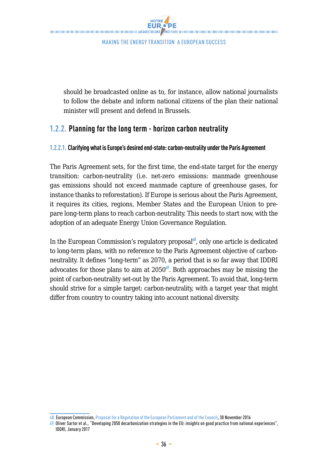NOTRE **EUR.** PE THE CONTRACT CONTRACT CONTRACT CONTRACT CONTRACT AND ACQUIS DELORS ASSEMBLE CONTRACT CONTRACT CONTRACT CONTRACT CONTRACT CONTRACT CONTRACT CONTRACT CONTRACT CONTRACT OF CONTRACT OF CONTRACT OF CONTRACT CONTRACT CONTRACT CO

Making the Energy transition a European success

should be broadcasted online as to, for instance, allow national journalists to follow the debate and inform national citizens of the plan their national minister will present and defend in Brussels.

## **1.2.2. Planning for the long term - horizon carbon neutrality**

#### **1.2.2.1. Clarifying what is Europe's desired end-state: carbon-neutrality under the Paris Agreement**

The Paris Agreement sets, for the first time, the end-state target for the energy transition: carbon-neutrality (i.e. net-zero emissions: manmade greenhouse gas emissions should not exceed manmade capture of greenhouse gases, for instance thanks to reforestation). If Europe is serious about the Paris Agreement, it requires its cities, regions, Member States and the European Union to prepare long-term plans to reach carbon-neutrality. This needs to start now, with the adoption of an adequate Energy Union Governance Regulation.

In the European Commission's regulatory proposal**<sup>48</sup>**, only one article is dedicated to long-term plans, with no reference to the Paris Agreement objective of carbonneutrality. It defines "long-term" as 2070, a period that is so far away that IDDRI advocates for those plans to aim at 2050**<sup>49</sup>**. Both approaches may be missing the point of carbon-neutrality set-out by the Paris Agreement. To avoid that, long-term should strive for a simple target: carbon-neutrality, with a target year that might differ from country to country taking into account national diversity.

<sup>48.</sup> European Commission, [Proposal for a Regulation of the European Parliament and of the Council,](http://ec.europa.eu/energy/sites/ener/files/documents/1_en_act_part1_v9_759.pdf) 30 November 2016

<sup>49.</sup> Oliver Sartor et al., "Developing 2050 decarbonization strategies in the EU: insights on good practice from national experiences", IDDRI, January 2017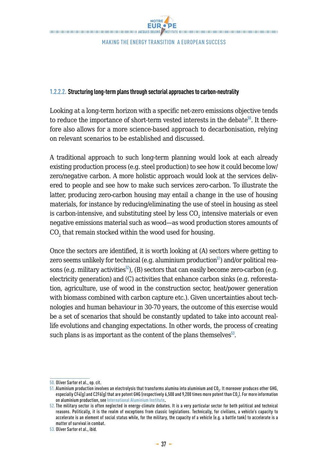#### **1.2.2.2. Structuring long-term plans through sectorial approaches to carbon-neutrality**

Looking at a long-term horizon with a specific net-zero emissions objective tends to reduce the importance of short-term vested interests in the debate**<sup>50</sup>**. It therefore also allows for a more science-based approach to decarbonisation, relying on relevant scenarios to be established and discussed.

A traditional approach to such long-term planning would look at each already existing production process (e.g. steel production) to see how it could become low/ zero/negative carbon. A more holistic approach would look at the services delivered to people and see how to make such services zero-carbon. To illustrate the latter, producing zero-carbon housing may entail a change in the use of housing materials, for instance by reducing/eliminating the use of steel in housing as steel is carbon-intensive, and substituting steel by less  $\mathrm{CO}_2$  intensive materials or even negative emissions material such as wood—as wood production stores amounts of  $\mathrm{CO}_2$  that remain stocked within the wood used for housing.

Once the sectors are identified, it is worth looking at (A) sectors where getting to zero seems unlikely for technical (e.g. aluminium production**<sup>51</sup>**) and/or political reasons (e.g. military activities<sup>52</sup>), (B) sectors that can easily become zero-carbon (e.g. electricity generation) and (C) activities that enhance carbon sinks (e.g. reforestation, agriculture, use of wood in the construction sector, heat/power generation with biomass combined with carbon capture etc.). Given uncertainties about technologies and human behaviour in 30-70 years, the outcome of this exercise would be a set of scenarios that should be constantly updated to take into account reallife evolutions and changing expectations. In other words, the process of creating such plans is as important as the content of the plans themselves<sup>53</sup>.

<sup>50.</sup> Oliver Sartor et al., op. cit.

 $51$ . Aluminium production involves an electrolysis that transforms alumina into aluminium and CO $_{\rm z}$ . It moreover produces other GHG, especially CF4(g) and C2F6(g) that are potent GHG (respectively 6,500 and 9,200 times more potent than CO<sub>2</sub>). For more information on aluminium production, see [International Aluminium Institute.](http://www.world-aluminium.org/statistics) 52. The military sector is often neglected in energy-climate debates. It is a very particular sector for both political and technical

reasons. Politically, it is the realm of exceptions from classic legislations. Technically, for civilians, a vehicle's capacity to accelerate is an element of social status while, for the military, the capacity of a vehicle (e.g. a battle tank) to accelerate is a matter of survival in combat.

<sup>53.</sup> Oliver Sartor et al., ibid.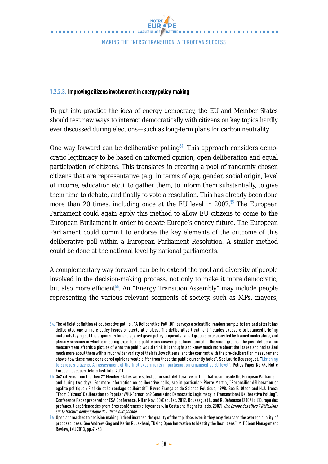#### **1.2.2.3. Improving citizens involvement in energy policy-making**

To put into practice the idea of energy democracy, the EU and Member States should test new ways to interact democratically with citizens on key topics hardly ever discussed during elections—such as long-term plans for carbon neutrality.

One way forward can be deliberative polling**<sup>54</sup>**. This approach considers democratic legitimacy to be based on informed opinion, open deliberation and equal participation of citizens. This translates in creating a pool of randomly chosen citizens that are representative (e.g. in terms of age, gender, social origin, level of income, education etc.), to gather them, to inform them substantially, to give them time to debate, and finally to vote a resolution. This has already been done more than 20 times, including once at the EU level in 2007.**<sup>55</sup>** The European Parliament could again apply this method to allow EU citizens to come to the European Parliament in order to debate Europe's energy future. The European Parliament could commit to endorse the key elements of the outcome of this deliberative poll within a European Parliament Resolution. A similar method could be done at the national level by national parliaments.

A complementary way forward can be to extend the pool and diversity of people involved in the decision-making process, not only to make it more democratic, but also more efficient**<sup>56</sup>**. An "Energy Transition Assembly" may include people representing the various relevant segments of society, such as MPs, mayors,

<sup>54.</sup> The official definition of deliberative poll is : "A Deliberative Poll (DP) surveys a scientific, random sample before and after it has deliberated one or more policy issues or electoral choices. The deliberative treatment includes exposure to balanced briefing materials laying out the arguments for and against given policy proposals, small group discussions led by trained moderators, and plenary sessions in which competing experts and politicians answer questions formed in the small groups. The post-deliberation measurement affords a picture of what the public would think if it thought and knew much more about the issues and had talked much more about them with a much wider variety of their fellow citizens, and the contrast with the pre-deliberation measurement shows how these more considered opinions would differ from those the public currently holds". See Laurie Boussaguet, "[Listening](http://www.delorsinstitute.eu/011-2603-Listening-to-Europe-s-citizens-An-assessment-of-the-first-experiments-in-participation-organised-at.html)  [to Europe's citizens. An assessment of the first experiments in participation organised at EU level"](http://www.delorsinstitute.eu/011-2603-Listening-to-Europe-s-citizens-An-assessment-of-the-first-experiments-in-participation-organised-at.html), Policy Paper No.44, Notre Europe – Jacques Delors Institute, 2011.

<sup>55. 362</sup> citizens from the then 27 Member States were selected for such deliberative polling that occur inside the European Parliament and during two days. For more information on deliberative polls, see in particular: Pierre Martin, "Réconcilier délibération et égalité politique : Fishkin et le sondage délibératif", Revue Française de Science Politique, 1998. See E. Olsen and H.J. Trenz: "From Citizens' Deliberation to Popular Will-Formation? Generating Democratic Legitimacy in Transnational Deliberative Polling". Conference Paper prepared for ESA Conference, Milan Nov. 30/Dec. 1st, 2012. Boussaguet L. and R. Dehousse (2007) « L'Europe des profanes: l'expérience des premières conférences citoyennes », in Costa and Magnette (eds. 2007), *Une Europe des élites ? Réflexions sur la fracture démocratique de l'Union européenne*.

<sup>56.</sup> Open approaches to decision making indeed increase the quality of the top ideas even if they may decrease the average quality of proposed ideas. See Andrew King and Karim R. Lakhani, "Using Open Innovation to Identify the Best Ideas", MIT Sloan Management Review, fall 2013, pp.41-48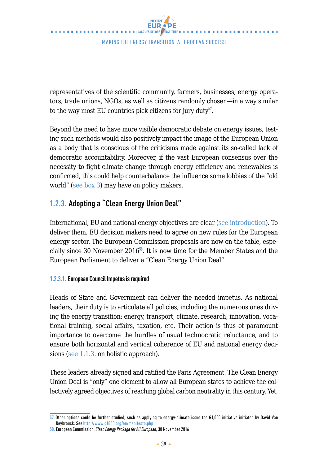representatives of the scientific community, farmers, businesses, energy operators, trade unions, NGOs, as well as citizens randomly chosen—in a way similar to the way most EU countries pick citizens for jury duty**<sup>57</sup>**.

Beyond the need to have more visible democratic debate on energy issues, testing such methods would also positively impact the image of the European Union as a body that is conscious of the criticisms made against its so-called lack of democratic accountability. Moreover, if the vast European consensus over the necessity to fight climate change through energy efficiency and renewables is confirmed, this could help counterbalance the influence some lobbies of the "old world" (see box 3) may have on policy makers.

## **1.2.3. Adopting a "Clean Energy Union Deal"**

International, EU and national energy objectives are clear (see introduction). To deliver them, EU decision makers need to agree on new rules for the European energy sector. The European Commission proposals are now on the table, especially since 30 November 2016**<sup>58</sup>**. It is now time for the Member States and the European Parliament to deliver a "Clean Energy Union Deal".

#### **1.2.3.1. European Council Impetus is required**

Heads of State and Government can deliver the needed impetus. As national leaders, their duty is to articulate all policies, including the numerous ones driving the energy transition: energy, transport, climate, research, innovation, vocational training, social affairs, taxation, etc. Their action is thus of paramount importance to overcome the hurdles of usual technocratic reluctance, and to ensure both horizontal and vertical coherence of EU and national energy decisions (see 1.1.3. on holistic approach).

These leaders already signed and ratified the Paris Agreement. The Clean Energy Union Deal is "only" one element to allow all European states to achieve the collectively agreed objectives of reaching global carbon neutrality in this century. Yet,

<sup>57.</sup> Other options could be further studied, such as applying to energy-climate issue the G1,000 initiative initiated by David Van Reybrouck. See <http://www.g1000.org/en/manifesto.php>

<sup>58.</sup> European Commission, *Clean Energy Package for All European*, 30 November 2016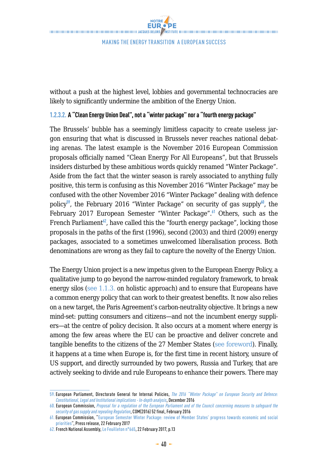without a push at the highest level, lobbies and governmental technocracies are likely to significantly undermine the ambition of the Energy Union.

#### **1.2.3.2. A "Clean Energy Union Deal", not a "winter package" nor a "fourth energy package"**

The Brussels' bubble has a seemingly limitless capacity to create useless jargon ensuring that what is discussed in Brussels never reaches national debating arenas. The latest example is the November 2016 European Commission proposals officially named "Clean Energy For All Europeans", but that Brussels insiders disturbed by these ambitious words quickly renamed "Winter Package". Aside from the fact that the winter season is rarely associated to anything fully positive, this term is confusing as this November 2016 "Winter Package" may be confused with the other November 2016 "Winter Package" dealing with defence policy**<sup>59</sup>**, the February 2016 "Winter Package" on security of gas supply**<sup>60</sup>**, the February 2017 European Semester "Winter Package".**<sup>61</sup>** Others, such as the French Parliament<sup>62</sup>, have called this the "fourth energy package", locking those proposals in the paths of the first (1996), second (2003) and third (2009) energy packages, associated to a sometimes unwelcomed liberalisation process. Both denominations are wrong as they fail to capture the novelty of the Energy Union.

The Energy Union project is a new impetus given to the European Energy Policy, a qualitative jump to go beyond the narrow-minded regulatory framework, to break energy silos (see 1.1.3. on holistic approach) and to ensure that Europeans have a common energy policy that can work to their greatest benefits. It now also relies on a new target, the Paris Agreement's carbon-neutrality objective. It brings a new mind-set: putting consumers and citizens—and not the incumbent energy suppliers—at the centre of policy decision. It also occurs at a moment where energy is among the few areas where the EU can be proactive and deliver concrete and tangible benefits to the citizens of the 27 Member States (see foreword). Finally, it happens at a time when Europe is, for the first time in recent history, unsure of US support, and directly surrounded by two powers, Russia and Turkey, that are actively seeking to divide and rule Europeans to enhance their powers. There may

<sup>59.</sup> European Parliament, Directorate General for Internal Policies, *[The 2016 "Winter Package" on European Security and Defence:](http://www.europarl.europa.eu/RegData/etudes/IDAN/2016/571405/IPOL_IDA(2016)571405_EN.pdf )  [Constitutional, Legal and Institutional implications - In-depth analysis](http://www.europarl.europa.eu/RegData/etudes/IDAN/2016/571405/IPOL_IDA(2016)571405_EN.pdf )*, December 2016

<sup>60.</sup> European Commission, *Proposal for a regulation of the European Parliament and of the Council concerning measures to safeguard the security of gas supply and repealing Regulation*, COM(2016) 52 final, February 2016 61. European Commission, "[European Semester Winter Package: review of Member States' progress towards economic and social](http://europa.eu/rapid/press-release_IP-17-308_en.htm) 

[priorities"](http://europa.eu/rapid/press-release_IP-17-308_en.htm), Press release, 22 February 2017

<sup>62.</sup> French National Assembly, [Le Feuilleton n°665,](http://www.assemblee-nationale.fr/agendas/feuilleton.pdf) 22 February 2017, p.13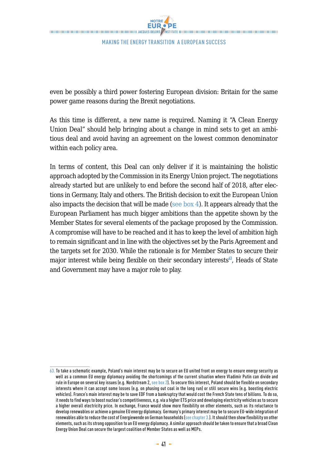even be possibly a third power fostering European division: Britain for the same power game reasons during the Brexit negotiations.

As this time is different, a new name is required. Naming it "A Clean Energy Union Deal" should help bringing about a change in mind sets to get an ambitious deal and avoid having an agreement on the lowest common denominator within each policy area.

In terms of content, this Deal can only deliver if it is maintaining the holistic approach adopted by the Commission in its Energy Union project. The negotiations already started but are unlikely to end before the second half of 2018, after elections in Germany, Italy and others. The British decision to exit the European Union also impacts the decision that will be made (see box 4). It appears already that the European Parliament has much bigger ambitions than the appetite shown by the Member States for several elements of the package proposed by the Commission. A compromise will have to be reached and it has to keep the level of ambition high to remain significant and in line with the objectives set by the Paris Agreement and the targets set for 2030. While the rationale is for Member States to secure their major interest while being flexible on their secondary interests**<sup>63</sup>**, Heads of State and Government may have a major role to play.

<sup>63.</sup> To take a schematic example, Poland's main interest may be to secure an EU united front on energy to ensure energy security as well as a common EU energy diplomacy avoiding the shortcomings of the current situation where Vladimir Putin can divide and rule in Europe on several key issues (e.g. Nordstream 2, see box 2). To secure this interest, Poland should be flexible on secondary interests where it can accept some losses (e.g. on phasing out coal in the long run) or still secure wins (e.g. boosting electric vehicles). France's main interest may be to save EDF from a bankruptcy that would cost the French State tens of billions. To do so, it needs to find ways to boost nuclear's competitiveness, e.g. via a higher ETS price and developing electricity vehicles as to secure a higher overall electricity price. In exchange, France would show more flexibility on other elements, such as its reluctance to develop renewables or achieve a genuine EU energy diplomacy. Germany's primary interest may be to secure EU-wide integration of renewables able to reduce the cost of Energiewende on German households (see chapter 3.). It should then show flexibility on other elements, such as its strong opposition to an EU energy diplomacy. A similar approach should be taken to ensure that a broad Clean Energy Union Deal can secure the largest coalition of Member States as well as MEPs.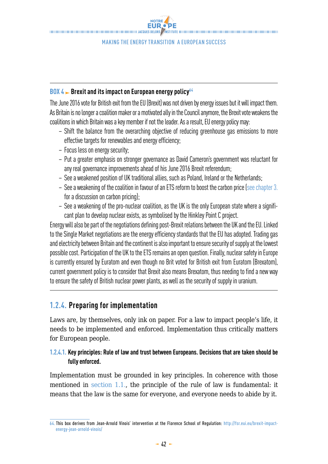NOTRE **EUR . PE** THE CONTRACT CONTRACT CONTRACT CONTRACT CONTRACT AND ACQUIS DELORS ASSEMBLE CONTRACT CONTRACT CONTRACT CONTRACT CONTRACT CONTRACT CONTRACT CONTRACT CONTRACT CONTRACT OF CONTRACT OF CONTRACT OF CONTRACT CONTRACT CONTRACT CO

Making the Energy transition a European success

#### **BOX 4 Brexit and its impact on European energy policy**<sup>64</sup>

The June 2016 vote for British exit from the EU (Brexit) was not driven by energy issues but it will impact them. As Britain is no longer a coalition maker or a motivated ally in the Council anymore, the Brexit vote weakens the coalitions in which Britain was a key member if not the leader. As a result, EU energy policy may:

- Shift the balance from the overarching objective of reducing greenhouse gas emissions to more effective targets for renewables and energy efficiency;
- Focus less on energy security;
- Put a greater emphasis on stronger governance as David Cameron's government was reluctant for any real governance improvements ahead of his June 2016 Brexit referendum;
- See a weakened position of UK traditional allies, such as Poland, Ireland or the Netherlands;
- $-$  See a weakening of the coalition in favour of an ETS reform to boost the carbon price (see chapter 3. for a discussion on carbon pricing);
- See a weakening of the pro-nuclear coalition, as the UK is the only European state where a significant plan to develop nuclear exists, as symbolised by the Hinkley Point C project.

Energy will also be part of the negotiations defining post-Brexit relations between the UK and the EU. Linked to the Single Market negotiations are the energy efficiency standards that the EU has adopted. Trading gas and electricity between Britain and the continent is also important to ensure security of supply at the lowest possible cost. Participation of the UK to the ETS remains an open question. Finally, nuclear safety in Europe is currently ensured by Euratom and even though no Brit voted for British exit from Euratom (Brexatom), current government policy is to consider that Brexit also means Brexatom, thus needing to find a new way to ensure the safety of British nuclear power plants, as well as the security of supply in uranium.

## **1.2.4. Preparing for implementation**

Laws are, by themselves, only ink on paper. For a law to impact people's life, it needs to be implemented and enforced. Implementation thus critically matters for European people.

## **1.2.4.1. Key principles: Rule of law and trust between Europeans. Decisions that are taken should be fully enforced.**

Implementation must be grounded in key principles. In coherence with those mentioned in section 1.1., the principle of the rule of law is fundamental: it means that the law is the same for everyone, and everyone needs to abide by it.

<sup>64.</sup> This box derives from Jean-Arnold Vinois' intervention at the Florence School of Regulation: [http://fsr.eui.eu/brexit-impact](http://fsr.eui.eu/brexit-impact-energy-jean-arnold-vinois/)[energy-jean-arnold-vinois/](http://fsr.eui.eu/brexit-impact-energy-jean-arnold-vinois/)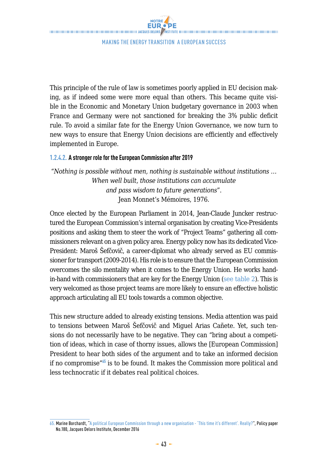This principle of the rule of law is sometimes poorly applied in EU decision making, as if indeed some were more equal than others. This became quite visible in the Economic and Monetary Union budgetary governance in 2003 when France and Germany were not sanctioned for breaking the 3% public deficit rule. To avoid a similar fate for the Energy Union Governance, we now turn to new ways to ensure that Energy Union decisions are efficiently and effectively implemented in Europe.

#### **1.2.4.2. A stronger role for the European Commission after 2019**

"*Nothing is possible without men, nothing is sustainable without institutions … When well built, those institutions can accumulate and pass wisdom to future generations*". Jean Monnet's Mémoires, 1976.

Once elected by the European Parliament in 2014, Jean-Claude Juncker restructured the European Commission's internal organisation by creating Vice-Presidents positions and asking them to steer the work of "Project Teams" gathering all commissioners relevant on a given policy area. Energy policy now has its dedicated Vice-President: Maroš Šefčovič, a career-diplomat who already served as EU commissioner for transport (2009-2014). His role is to ensure that the European Commission overcomes the silo mentality when it comes to the Energy Union. He works handin-hand with commissioners that are key for the Energy Union (see table 2). This is very welcomed as those project teams are more likely to ensure an effective holistic approach articulating all EU tools towards a common objective.

This new structure added to already existing tensions. Media attention was paid to tensions between Maroš Šefčovič and Miguel Arias Cañete. Yet, such tensions do not necessarily have to be negative. They can "bring about a competition of ideas, which in case of thorny issues, allows the [European Commission] President to hear both sides of the argument and to take an informed decision if no compromise"**<sup>65</sup>** is to be found. It makes the Commission more political and less technocratic if it debates real political choices.

<sup>65.</sup> Marine Borchardt, "[A political European Commission through a new organisation - 'This time it's different'. Really?"](http://www.institutdelors.eu/media/politicaleucommission-borchardt-jdi-dec16.pdf?pdf=ok), Policy paper No.180, Jacques Delors Institute, December 2016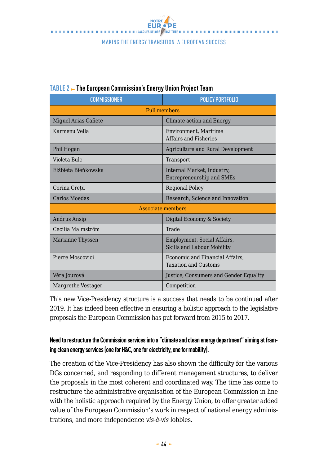| <b>COMMISSIONER</b> | <b>POLICY PORTFOLIO</b>                                          |  |  |
|---------------------|------------------------------------------------------------------|--|--|
| <b>Full members</b> |                                                                  |  |  |
| Miguel Arias Cañete | Climate action and Energy                                        |  |  |
| Karmenu Vella       | Environment, Maritime<br><b>Affairs and Fisheries</b>            |  |  |
| Phil Hogan          | Agriculture and Rural Development                                |  |  |
| Violeta Bulc        | Transport                                                        |  |  |
| Elżbieta Bieńkowska | Internal Market, Industry,<br>Entrepreneurship and SMEs          |  |  |
| Corina Cretu        | <b>Regional Policy</b>                                           |  |  |
| Carlos Moedas       | Research. Science and Innovation                                 |  |  |
| Associate members   |                                                                  |  |  |
| Andrus Ansip        | Digital Economy & Society                                        |  |  |
| Cecilia Malmström   | Trade                                                            |  |  |
| Marianne Thyssen    | Employment, Social Affairs,<br><b>Skills and Labour Mobility</b> |  |  |
| Pierre Moscovici    | Economic and Financial Affairs,<br><b>Taxation and Customs</b>   |  |  |
| Věra Jourová        | Justice, Consumers and Gender Equality                           |  |  |
| Margrethe Vestager  | Competition                                                      |  |  |

## **TABLE 2 The European Commission's Energy Union Project Team**

This new Vice-Presidency structure is a success that needs to be continued after 2019. It has indeed been effective in ensuring a holistic approach to the legislative proposals the European Commission has put forward from 2015 to 2017.

## **Need to restructure the Commission services into a "climate and clean energy department" aiming at framing clean energy services (one for H&C, one for electricity, one for mobility).**

The creation of the Vice-Presidency has also shown the difficulty for the various DGs concerned, and responding to different management structures, to deliver the proposals in the most coherent and coordinated way. The time has come to restructure the administrative organisation of the European Commission in line with the holistic approach required by the Energy Union, to offer greater added value of the European Commission's work in respect of national energy administrations, and more independence *vis-à-vis* lobbies.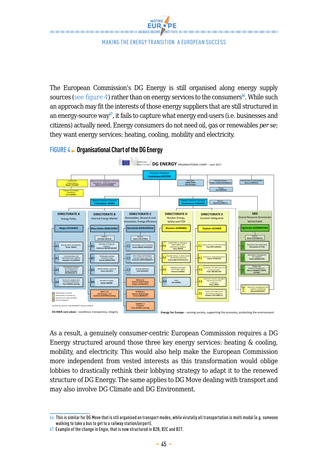

The European Commission's DG Energy is still organised along energy supply sources (see figure 4) rather than on energy services to the consumers<sup>66</sup>. While such an approach may fit the interests of those energy suppliers that are still structured in an energy-source way**<sup>67</sup>**, it fails to capture what energy end-users (i.e. businesses and citizens) actually need. Energy consumers do not need oil, gas or renewables *per se*; they want energy services: heating, cooling, mobility and electricity.



#### **FIGURE 4 Drganisational Chart of the DG Energy**

As a result, a genuinely consumer-centric European Commission requires a DG Energy structured around those three key energy services: heating & cooling, mobility, and electricity. This would also help make the European Commission more independent from vested interests as this transformation would oblige lobbies to drastically rethink their lobbying strategy to adapt it to the renewed structure of DG Energy. The same applies to DG Move dealing with transport and may also involve DG Climate and DG Environment.

<sup>66.</sup> This is similar for DG Move that is stil organised on transport modes, while virutally all transportation is multi modal (e.g. someone walking to take a bus to get to a railway station/airport).

<sup>67.</sup> Example of the change in Engie, that is now structured in B2B, B2C and B2T.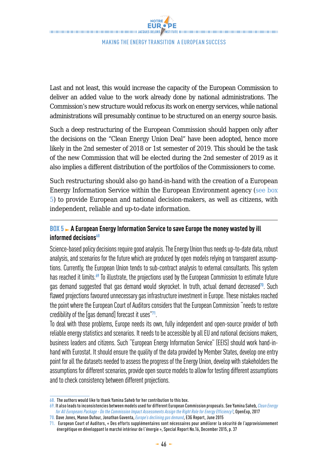Last and not least, this would increase the capacity of the European Commission to deliver an added value to the work already done by national administrations. The Commission's new structure would refocus its work on energy services, while national administrations will presumably continue to be structured on an energy source basis.

Such a deep restructuring of the European Commission should happen only after the decisions on the "Clean Energy Union Deal" have been adopted, hence more likely in the 2nd semester of 2018 or 1st semester of 2019. This should be the task of the new Commission that will be elected during the 2nd semester of 2019 as it also implies a different distribution of the portfolios of the Commissioners to come.

Such restructuring should also go hand-in-hand with the creation of a European Energy Information Service within the European Environment agency (see box 5) to provide European and national decision-makers, as well as citizens, with independent, reliable and up-to-date information.

## **BOX 5 A European Energy Information Service to save Europe the money wasted by ill informed decisions<sup>68</sup>**

Science-based policy decisions require good analysis. The Energy Union thus needs up-to-date data, robust analysis, and scenarios for the future which are produced by open models relying on transparent assumptions. Currently, the European Union tends to sub-contract analysis to external consultants. This system has reached it limits.**<sup>69</sup>** To illustrate, the projections used by the European Commission to estimate future gas demand suggested that gas demand would skyrocket. In truth, actual demand decreased**<sup>70</sup>**. Such flawed projections favoured unnecessary gas infrastructure investment in Europe. These mistakes reached the point where the European Court of Auditors considers that the European Commission "needs to restore credibility of the [gas demand] forecast it uses"**<sup>71</sup>**.

To deal with those problems, Europe needs its own, fully independent and open-source provider of both reliable energy statistics and scenarios. It needs to be accessible by all EU and national decisions makers, business leaders and citizens. Such "European Energy Information Service" (EEIS) should work hand-inhand with Eurostat. It should ensure the quality of the data provided by Member States, develop one entry point for all the datasets needed to assess the progress of the Energy Union, develop with stakeholders the assumptions for different scenarios, provide open source models to allow for testing different assumptions and to check consistency between different projections.

<sup>68.</sup> The authors would like to thank Yamina Saheb for her contribution to this box.

<sup>69.</sup> It also leads to inconsistencies between models used for different European Commission proposals. See Yamina Saheb, *[Clean Energy](https://www.openexp.eu/sites/default/files/publication/files/ce4all_do_the_commissions_ia_assign_the_right_role_for_energy_efficiency-full_report.pdf)  [for All Europeans Package - Do the Commission Impact Assessments Assign the Right Role for Energy Efficiency?](https://www.openexp.eu/sites/default/files/publication/files/ce4all_do_the_commissions_ia_assign_the_right_role_for_energy_efficiency-full_report.pdf)*, OpenExp, 2017

<sup>70.</sup> Dave Jones, Manon Dufour, Jonathan Gaventa, *[Europe's declining gas demand](https://www.e3g.org/news/media-room/europes-declining-gas-demand)*, E3G Report, June 2015

<sup>71.</sup> European Court of Auditors, « Des efforts supplémentaires sont nécessaires pour améliorer la sécurité de l'approvisionnement énergétique en développant le marché intérieur de l'énergie », Special Report No.16, December 2015, p. 37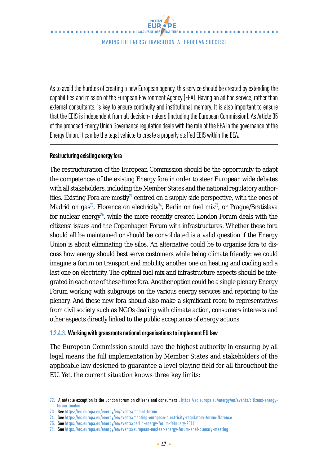Making the Energy transition a European success

As to avoid the hurdles of creating a new European agency, this service should be created by extending the capabilities and mission of the European Environment Agency (EEA). Having an ad hoc service, rather than external consultants, is key to ensure continuity and institutional memory. It is also important to ensure that the EEIS is independent from all decision-makers (including the European Commission). As Article 35 of the proposed Energy Union Governance regulation deals with the role of the EEA in the governance of the Energy Union, it can be the legal vehicle to create a properly staffed EEIS within the EEA.

#### **Restructuring existing energy fora**

The restructuration of the European Commission should be the opportunity to adapt the competences of the existing Energy fora in order to steer European wide debates with all stakeholders, including the Member States and the national regulatory authorities. Existing Fora are mostly**<sup>72</sup>** centred on a supply-side perspective, with the ones of Madrid on gas<sup>73</sup>, Florence on electricity<sup>74</sup>, Berlin on fuel mix<sup>75</sup>, or Prague/Bratislava for nuclear energy**<sup>76</sup>**, while the more recently created London Forum deals with the citizens' issues and the Copenhagen Forum with infrastructures. Whether these fora should all be maintained or should be consolidated is a valid question if the Energy Union is about eliminating the silos. An alternative could be to organise fora to discuss how energy should best serve customers while being climate friendly: we could imagine a forum on transport and mobility, another one on heating and cooling and a last one on electricity. The optimal fuel mix and infrastructure aspects should be integrated in each one of these three fora. Another option could be a single plenary Energy Forum working with subgroups on the various energy services and reporting to the plenary. And these new fora should also make a significant room to representatives from civil society such as NGOs dealing with climate action, consumers interests and other aspects directly linked to the public acceptance of energy actions.

#### **1.2.4.3. Working with grassroots national organisations to implement EU law**

The European Commission should have the highest authority in ensuring by all legal means the full implementation by Member States and stakeholders of the applicable law designed to guarantee a level playing field for all throughout the EU. Yet, the current situation knows three key limits:

<sup>72.</sup> A notable exception is the London forum on citizens and consumers : [https://ec.europa.eu/energy/en/events/citizens-energy](https://ec.europa.eu/energy/en/events/citizens-energy-forum-london)[forum-london](https://ec.europa.eu/energy/en/events/citizens-energy-forum-london)

<sup>73.</sup> See<https://ec.europa.eu/energy/en/events/madrid-forum>

<sup>74.</sup> See https://ec.europa.eu/energy/en/events/meeting-european-electricity-regulatory-forum-florence

<sup>75.</sup> See<https://ec.europa.eu/energy/en/events/berlin-energy-forum-february-2014>

<sup>76.</sup> Seehttps://ec.europa.eu/energy/en/events/european-nuclear-energy-forum-enef-plenary-meeting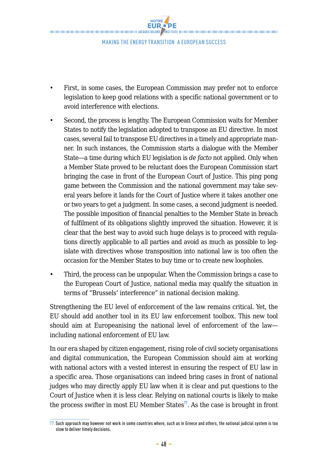NOTRE **EUR.** PE THE CONTRACT CONTRACT CONTRACT CONTRACT CONTRACT AND ACQUIS DELORS ASSEMBLE CONTRACT CONTRACT CONTRACT CONTRACT CONTRACT CONTRACT CONTRACT CONTRACT CONTRACT CONTRACT OF CONTRACT OF CONTRACT OF CONTRACT CONTRACT CONTRACT CO

Making the Energy transition a European success

- First, in some cases, the European Commission may prefer not to enforce legislation to keep good relations with a specific national government or to avoid interference with elections.
- Second, the process is lengthy. The European Commission waits for Member States to notify the legislation adopted to transpose an EU directive. In most cases, several fail to transpose EU directives in a timely and appropriate manner. In such instances, the Commission starts a dialogue with the Member State—a time during which EU legislation is *de facto* not applied. Only when a Member State proved to be reluctant does the European Commission start bringing the case in front of the European Court of Justice. This ping pong game between the Commission and the national government may take several years before it lands for the Court of Justice where it takes another one or two years to get a judgment. In some cases, a second judgment is needed. The possible imposition of financial penalties to the Member State in breach of fulfilment of its obligations slightly improved the situation. However, it is clear that the best way to avoid such huge delays is to proceed with regulations directly applicable to all parties and avoid as much as possible to legislate with directives whose transposition into national law is too often the occasion for the Member States to buy time or to create new loopholes.
- Third, the process can be unpopular. When the Commission brings a case to the European Court of Justice, national media may qualify the situation in terms of "Brussels' interference" in national decision making.

Strengthening the EU level of enforcement of the law remains critical. Yet, the EU should add another tool in its EU law enforcement toolbox. This new tool should aim at Europeanising the national level of enforcement of the law including national enforcement of EU law.

In our era shaped by citizen engagement, rising role of civil society organisations and digital communication, the European Commission should aim at working with national actors with a vested interest in ensuring the respect of EU law in a specific area. Those organisations can indeed bring cases in front of national judges who may directly apply EU law when it is clear and put questions to the Court of Justice when it is less clear. Relying on national courts is likely to make the process swifter in most EU Member States**<sup>77</sup>**. As the case is brought in front

<sup>77.</sup> Such approach may however not work in some countries where, such as in Greece and others, the national judicial system is too slow to deliver timely decisions.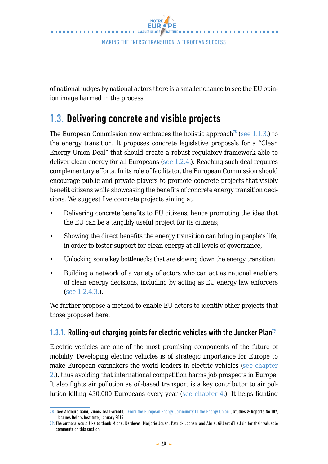![](_page_32_Picture_0.jpeg)

of national judges by national actors there is a smaller chance to see the EU opinion image harmed in the process.

# **1.3. Delivering concrete and visible projects**

The European Commission now embraces the [holistic approach](http://www.institutdelors.eu/media/energyunion-andouravinois-jdi-jan15.pdf?pdf=ok)**<sup>78</sup>** (see 1.1.3.) to the energy transition. It proposes concrete legislative proposals for a "Clean Energy Union Deal" that should create a robust regulatory framework able to deliver clean energy for all Europeans (see 1.2.4.). Reaching such deal requires complementary efforts. In its role of facilitator, the European Commission should encourage public and private players to promote concrete projects that visibly benefit citizens while showcasing the benefits of concrete energy transition decisions. We suggest five concrete projects aiming at:

- Delivering concrete benefits to EU citizens, hence promoting the idea that the EU can be a tangibly useful project for its citizens;
- Showing the direct benefits the energy transition can bring in people's life, in order to foster support for clean energy at all levels of governance,
- Unlocking some key bottlenecks that are slowing down the energy transition;
- Building a network of a variety of actors who can act as national enablers of clean energy decisions, including by acting as EU energy law enforcers (see 1.2.4.3.).

We further propose a method to enable EU actors to identify other projects that those proposed here.

## **1.3.1.** Rolling-out charging points for electric vehicles with the Juncker Plan<sup>79</sup>

Electric vehicles are one of the most promising components of the future of mobility. Developing electric vehicles is of strategic importance for Europe to make European carmakers the world leaders in electric vehicles (see chapter 2.), thus avoiding that international competition harms job prospects in Europe. It also fights air pollution as oil-based transport is a key contributor to air pollution killing 430,000 Europeans every year (see chapter 4.). It helps fighting

<sup>78.</sup> See Andoura Sami, Vinois Jean-Arnold, "[From the European Energy Community to the Energy Union"](http://www.institutdelors.eu/media/energyunion-andouravinois-jdi-jan15.pdf?pdf=ok), Studies & Reports No.107, Jacques Delors Institute, January 2015

<sup>79.</sup> The authors would like to thank Michel Derdevet, Marjorie Jouen, Patrick Jochem and Abrial Gilbert d'Halluin for their valuable comments on this section.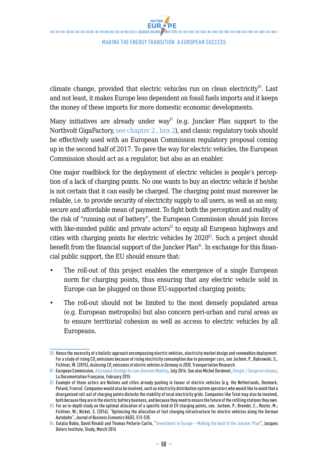climate change, provided that electric vehicles run on clean electricity**<sup>80</sup>**. Last and not least, it makes Europe less dependent on fossil fuels imports and it keeps the money of these imports for more domestic economic developments.

Many initiatives are already under way**<sup>81</sup>** (e.g. Juncker Plan support to the Northvolt GigaFactory, see chapter 2., box 2), and classic regulatory tools should be effectively used with an European Commission regulatory proposal coming up in the second half of 2017. To pave the way for electric vehicles, the European Commission should act as a regulator, but also as an enabler.

One major roadblock for the deployment of electric vehicles is people's perception of a lack of charging points. No one wants to buy an electric vehicle if he/she is not certain that it can easily be charged. The charging point must moreover be reliable, i.e. to provide security of electricity supply to all users, as well as an easy, secure and affordable mean of payment. To fight both the perception and reality of the risk of "running out of battery", the European Commission should join forces with like-minded public and private actors<sup>82</sup> to equip all European highways and cities with charging points for electric vehicles by 2020**<sup>83</sup>**. Such a project should benefit from the financial support of the [Juncker Plan](http://www.institutdelors.eu/media/investmentjunckerplan-rubiorinaldipellerincarlin-jdi-mar16.pdf?pdf=ok)**<sup>84</sup>**. In exchange for this financial public support, the EU should ensure that:

- The roll-out of this project enables the emergence of a single European norm for charging points, thus ensuring that any electric vehicle sold in Europe can be plugged on those EU-supported charging points;
- The roll-out should not be limited to the most densely populated areas (e.g. European metropolis) but also concern peri-urban and rural areas as to ensure territorial cohesion as well as access to electric vehicles by all Europeans.

<sup>80.</sup> Hence the necessity of a holistic approach encompassing electric vehicles, electricity market design and renewables deployment. For a study of rising CO, emissions because of rising electricity consumption due to passenger cars, see Jochem, P., Babrowski, S., Fichtner, W. (2015), *Assessing CO<sub>2</sub> emissions of electric vehicles in Germany in 2030*, Transportation Research.

<sup>81.</sup> European Commission, *[A European Strategy for Low-Emission Mobility](https://ec.europa.eu/transparency/regdoc/rep/1/2016/EN/1-2016-501-EN-F1-1.PDF)*, July 2016. See also Michel Derdevet, *[Énergie, l'Europe en réseaux](http://www.ladocumentationfrancaise.fr/var/storage/rapports-publics/154000135.pdf)*, La Documentation Française, February 2015

<sup>82.</sup> Example of those actors are Nations and cities already pushing in favour of electric vehicles (e.g. the Netherlands, Denmark, Poland, France). Companies would also be involved, such as electricity distribution system operators who would like to avoid that a disorganised roll-out of charging points disturbs the stability of local electricity grids. Companies like Total may also be involved, both because they are in the electric battery business, and because they need to ensure the future of the refilling stations they own.

<sup>83.</sup> For an in-depth study on the optimal allocation of a specific kind of EV charging points, see. Jochem, P.; Brendel, C.; Reuter, M.; Fichtner, W.; Nickel, S. (2016), "Optimizing the allocation of fast charging infrastructure for electric vehicles along the German Autobahn", *Journal of Business Economics* 86(5), 513-535

<sup>84.</sup> Eulalia Rubio, David Rinaldi and Thomas Pellerin-Carlin, "[Investment in Europe – Making the best of the Juncker Plan"](http://www.institutdelors.eu/media/investmentjunckerplan-rubiorinaldipellerincarlin-jdi-mar16.pdf?pdf=ok), Jacques Delors Institute, Study, March 2016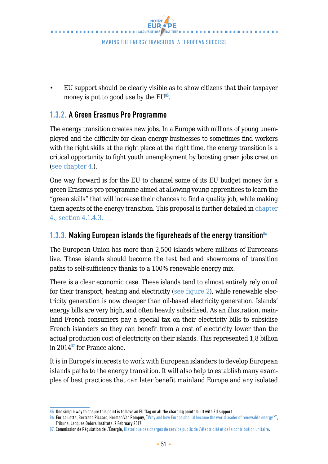![](_page_34_Picture_0.jpeg)

• EU support should be clearly visible as to show citizens that their taxpayer money is put to good use by the EU**<sup>85</sup>**.

## **1.3.2. A Green Erasmus Pro Programme**

The energy transition creates new jobs. In a Europe with millions of young unemployed and the difficulty for clean energy businesses to sometimes find workers with the right skills at the right place at the right time, the energy transition is a critical opportunity to fight youth unemployment by boosting green jobs creation (see chapter 4.).

One way forward is for the EU to channel some of its EU budget money for a green Erasmus pro programme aimed at allowing young apprentices to learn the "green skills" that will increase their chances to find a quality job, while making them agents of the energy transition. This proposal is further detailed in chapter 4., section 4.1.4.3.

## **1.3.3.** Making European islands the figureheads of the energy transition<sup>86</sup>

The European Union has more than 2,500 islands where millions of Europeans live. Those islands should become the test bed and showrooms of transition paths to self-sufficiency thanks to a 100% renewable energy mix.

There is a clear economic case. These islands tend to almost entirely rely on oil for their transport, heating and electricity (see figure 2), while renewable electricity generation is now cheaper than oil-based electricity generation. Islands' energy bills are very high, and often heavily subsidised. As an illustration, mainland French consumers pay a special tax on their electricity bills to subsidise French islanders so they can benefit from a cost of electricity lower than the actual production cost of electricity on their islands. This represented 1,8 billion in 2014**<sup>87</sup>** for France alone.

It is in Europe's interests to work with European islanders to develop European islands paths to the energy transition. It will also help to establish many examples of best practices that can later benefit mainland Europe and any isolated

<sup>85.</sup> One simple way to ensure this point is to have an EU flag on all the charging points built with EU support.

<sup>86.</sup> Enrico Letta, Bertrand Piccard, Herman Van Rompuy, ["Why and how Europe should become the world leader of renewable energy?](http://www.institutdelors.eu/media/renewableenergy-lettavanrompuypiccard.pdf?pdf=ok)", Tribune, Jacques Delors Institute, 7 February 2017

<sup>87.</sup> Commission de Régulation de l'Énergie, [Historique des charges de service public de l'électricité et de la contribution unitaire](http://www.cre.fr/documents/deliberations/proposition/cspe-et-contribution-unitaire-2016/consulter-l-annexe-5-historique-des-charges-de-service-public-de-l-electricite-et-de-la-contribution-unitaire).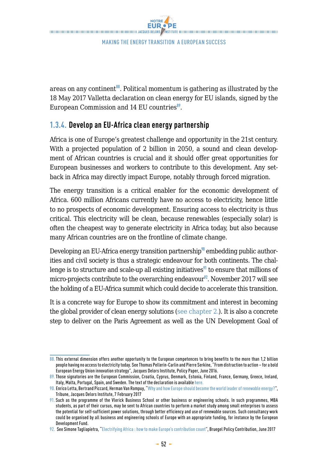areas on any continent**<sup>88</sup>**. Political momentum is gathering as illustrated by the 18 May 2017 Valletta declaration on clean energy for EU islands, signed by the European Commission and 14 EU countries**<sup>89</sup>**.

## **1.3.4. Develop an EU-Africa clean energy partnership**

Africa is one of Europe's greatest challenge and opportunity in the 21st century. With a projected population of 2 billion in 2050, a sound and clean development of African countries is crucial and it should offer great opportunities for European businesses and workers to contribute to this development. Any setback in Africa may directly impact Europe, notably through forced migration.

The energy transition is a critical enabler for the economic development of Africa. 600 million Africans currently have no access to electricity, hence little to no prospects of economic development. Ensuring access to electricity is thus critical. This electricity will be clean, because renewables (especially solar) is often the cheapest way to generate electricity in Africa today, but also because many African countries are on the frontline of climate change.

Developing an EU-Africa energy transition partnership**<sup>90</sup>** embedding public authorities and civil society is thus a strategic endeavour for both continents. The challenge is to structure and scale-up all existing initiatives<sup>91</sup> to ensure that millions of micro-projects contribute to the overarching endeavour**<sup>92</sup>**. November 2017 will see the holding of a EU-Africa summit which could decide to accelerate this transition.

It is a concrete way for Europe to show its commitment and interest in becoming the global provider of clean energy solutions (see chapter 2.). It is also a concrete step to deliver on the Paris Agreement as well as the UN Development Goal of

<sup>88.</sup> This external dimension offers another opportunity to the European competences to bring benefits to the more than 1,2 billion people having no access to electricity today. See Thomas Pellerin-Carlin and Pierre Serkine, "From distraction to action – for a bold European Energy Union innovation strategy", Jacques Delors Institute, Policy Paper, June 2016.

<sup>89.</sup> Those signatories are the European Commission, Croatia, Cyprus, Denmark, Est[onia,](https://ec.europa.eu/energy/sites/ener/files/documents/170505_political_declaration_on_clean_energy_for_eu_islands-_final_version_16_05_20171.pdf) Finland, France, Germany, Greece, Ireland, Italy, Malta, Portugal, Spain, and Sweden. The text of the declaration is available here.

<sup>90.</sup> Enrico Letta, Bertrand Piccard, Herman Van Rompuy, ["Why and how Europe should become the world leader of renewable energy?](http://www.institutdelors.eu/media/renewableenergy-lettavanrompuypiccard.pdf?pdf=ok)", Tribune, Jacques Delors Institute, 7 February 2017

<sup>91.</sup> Such as the programme of the Vlerick Business School or other business or engineering schools. In such programmes, MBA students, as part of their cursus, may be sent to African countries to perform a market study among small enterprises to assess the potential for self-sufficient power solutions, through better efficiency and use of renewable sources. Such consultancy work could be organised by all business and engineering schools of Europe with an appropriate funding, for instance by the European Development Fund.

<sup>92.</sup> See Simone Tagliapietra, ["Electrifying Africa: how to make Europe's contribution count](http://bruegel.org/wp-content/uploads/2017/06/PC-17-2017-1.pdf)", Bruegel Policy Contribution, June 2017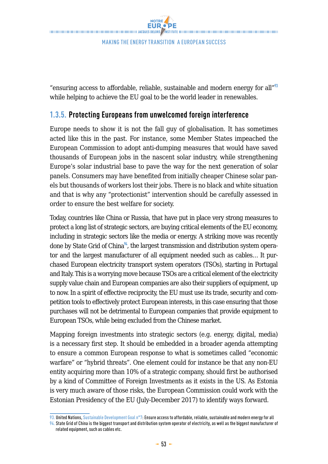"ensuring access to affordable, reliable, sustainable and modern energy for all"**<sup>93</sup>** while helping to achieve the EU goal to be the world leader in renewables.

## **1.3.5. Protecting Europeans from unwelcomed foreign interference**

Europe needs to show it is not the fall guy of globalisation. It has sometimes acted like this in the past. For instance, some Member States impeached the European Commission to adopt anti-dumping measures that would have saved thousands of European jobs in the nascent solar industry, while strengthening Europe's solar industrial base to pave the way for the next generation of solar panels. Consumers may have benefited from initially cheaper Chinese solar panels but thousands of workers lost their jobs. There is no black and white situation and that is why any "protectionist" intervention should be carefully assessed in order to ensure the best welfare for society.

Today, countries like China or Russia, that have put in place very strong measures to protect a long list of strategic sectors, are buying critical elements of the EU economy, including in strategic sectors like the media or energy. A striking move was recently done by State Grid of China**<sup>94</sup>**, the largest transmission and distribution system operator and the largest manufacturer of all equipment needed such as cables… It purchased European electricity transport system operators (TSOs), starting in Portugal and Italy. This is a worrying move because TSOs are a critical element of the electricity supply value chain and European companies are also their suppliers of equipment, up to now. In a spirit of effective reciprocity, the EU must use its trade, security and competition tools to effectively protect European interests, in this case ensuring that those purchases will not be detrimental to European companies that provide equipment to European TSOs, while being excluded from the Chinese market.

Mapping foreign investments into strategic sectors (e.g. energy, digital, media) is a necessary first step. It should be embedded in a broader agenda attempting to ensure a common European response to what is sometimes called "economic warfare" or "hybrid threats". One element could for instance be that any non-EU entity acquiring more than 10% of a strategic company, should first be authorised by a kind of Committee of Foreign Investments as it exists in the US. As Estonia is very much aware of those risks, the European Commission could work with the Estonian Presidency of the EU (July-December 2017) to identify ways forward.

<sup>93.</sup> United Nations, [Sustainable Development Goal n°7](http://www.un.org/sustainabledevelopment/energy/): Ensure access to affordable, reliable, sustainable and modern energy for all

<sup>94.</sup> State Grid of China is the biggest transport and distribution system operator of electricity, as well as the biggest manufacturer of related equipment, such as cables etc.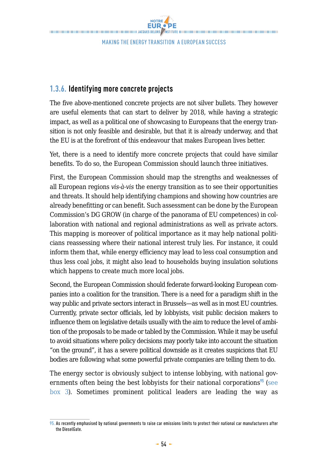**NOTRE EUR.** PE THE CONTRACT DESCRIPTION OF THE CONTRACT OF THE CONTRACT OF THE CONTRACT OF THE CONTRACT OF THE CONTRACT OF THE CONTRACT OF THE CONTRACT OF THE CONTRACT OF THE CONTRACT OF THE CONTRACT OF THE CONTRACT OF THE CONTRACT OF TH

Making the Energy transition a European success

## **1.3.6. Identifying more concrete projects**

The five above-mentioned concrete projects are not silver bullets. They however are useful elements that can start to deliver by 2018, while having a strategic impact, as well as a political one of showcasing to Europeans that the energy transition is not only feasible and desirable, but that it is already underway, and that the EU is at the forefront of this endeavour that makes European lives better.

Yet, there is a need to identify more concrete projects that could have similar benefits. To do so, the European Commission should launch three initiatives.

First, the European Commission should map the strengths and weaknesses of all European regions *vis-à-vis* the energy transition as to see their opportunities and threats. It should help identifying champions and showing how countries are already benefitting or can benefit. Such assessment can be done by the European Commission's DG GROW (in charge of the panorama of EU competences) in collaboration with national and regional administrations as well as private actors. This mapping is moreover of political importance as it may help national politicians reassessing where their national interest truly lies. For instance, it could inform them that, while energy efficiency may lead to less coal consumption and thus less coal jobs, it might also lead to households buying insulation solutions which happens to create much more local jobs.

Second, the European Commission should federate forward-looking European companies into a coalition for the transition. There is a need for a paradigm shift in the way public and private sectors interact in Brussels—as well as in most EU countries. Currently, private sector officials, led by lobbyists, visit public decision makers to influence them on legislative details usually with the aim to reduce the level of ambition of the proposals to be made or tabled by the Commission. While it may be useful to avoid situations where policy decisions may poorly take into account the situation "on the ground", it has a severe political downside as it creates suspicions that EU bodies are following what some powerful private companies are telling them to do.

The energy sector is obviously subject to intense lobbying, with national governments often being the best lobbyists for their national corporations<sup>95</sup> (see box 3). Sometimes prominent political leaders are leading the way as

<sup>95.</sup> As recently emphasised by national governments to raise car emissions limits to protect their national car manufacturers after the DieselGate.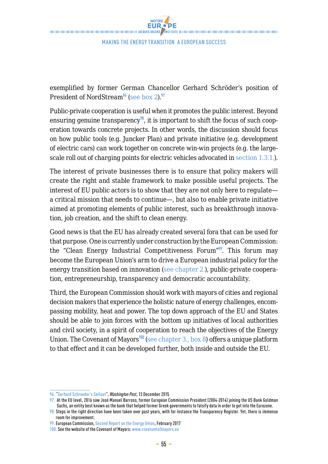exemplified by former German Chancellor Gerhard Schröder's position of President of NordStream**<sup>96</sup>** (see box 2).**<sup>97</sup>**

Public-private cooperation is useful when it promotes the public interest. Beyond ensuring genuine transparency<sup>98</sup>, it is important to shift the focus of such cooperation towards concrete projects. In other words, the discussion should focus on how public tools (e.g. Juncker Plan) and private initiative (e.g. development of electric cars) can work together on concrete win-win projects (e.g. the largescale roll out of charging points for electric vehicles advocated in section 1.3.1.).

The interest of private businesses there is to ensure that policy makers will create the right and stable framework to make possible useful projects. The interest of EU public actors is to show that they are not only here to regulate a critical mission that needs to continue—, but also to enable private initiative aimed at promoting elements of public interest, such as breakthrough innovation, job creation, and the shift to clean energy.

Good news is that the EU has already created several fora that can be used for that purpose. One is currently under construction by the European Commission: the "Clean Energy Industrial Competitiveness Forum"**<sup>99</sup>**. This forum may become the European Union's arm to drive a European industrial policy for the energy transition based on innovation (see chapter 2.), public-private cooperation, entrepreneurship, transparency and democratic accountability.

Third, the European Commission should work with mayors of cities and regional decision makers that experience the holistic nature of energy challenges, encompassing mobility, heat and power. The top down approach of the EU and States should be able to join forces with the bottom up initiatives of local authorities and civil society, in a spirit of cooperation to reach the objectives of the Energy Union. The Covenant of Mayors**<sup>100</sup>** (see chapter 3., box 8) offers a unique platform to that effect and it can be developed further, both inside and outside the EU.

<sup>96. &</sup>quot;[Gerhard Schroeder's Sellout"](http://www.washingtonpost.com/wp-dyn/content/article/2005/12/12/AR2005121201060.html), *Washington Post*, 13 December 2015

<sup>97.</sup> At the EU level, 2016 saw José Manuel Barroso, former European Commission President (2004-2014) joining the US Bank Goldman Sachs, an entity best known as the bank that helped former Greek governments to falsify data in order to get into the Eurozone.

<sup>98.</sup> Steps in the right direction have been taken over past years, with for instance the Transparency Register. Yet, there is immense room for improvement.

<sup>99.</sup> European Commission, Second Report on the Energy Union, February 2017

<sup>100.</sup> See the website of the Covenant of Mayors: [www.covenantofmayors.eu](http://www.covenantofmayors.eu)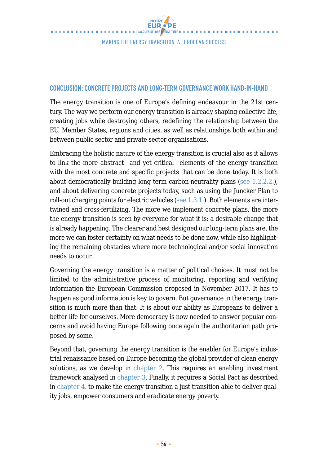#### **CONCLUSION: CONCRETE PROJECTS AND LONG-TERM GOVERNANCE WORK HAND-IN-HAND**

The energy transition is one of Europe's defining endeavour in the 21st century. The way we perform our energy transition is already shaping collective life, creating jobs while destroying others, redefining the relationship between the EU, Member States, regions and cities, as well as relationships both within and between public sector and private sector organisations.

Embracing the holistic nature of the energy transition is crucial also as it allows to link the more abstract—and yet critical—elements of the energy transition with the most concrete and specific projects that can be done today. It is both about democratically building long term carbon-neutrality plans (see 1.2.2.2.), and about delivering concrete projects today, such as using the Juncker Plan to roll-out charging points for electric vehicles (see 1.3.1.). Both elements are intertwined and cross-fertilizing. The more we implement concrete plans, the more the energy transition is seen by everyone for what it is: a desirable change that is already happening. The clearer and best designed our long-term plans are, the more we can foster certainty on what needs to be done now, while also highlighting the remaining obstacles where more technological and/or social innovation needs to occur.

Governing the energy transition is a matter of political choices. It must not be limited to the administrative process of monitoring, reporting and verifying information the European Commission proposed in November 2017. It has to happen as good information is key to govern. But governance in the energy transition is much more than that. It is about our ability as Europeans to deliver a better life for ourselves. More democracy is now needed to answer popular concerns and avoid having Europe following once again the authoritarian path proposed by some.

Beyond that, governing the energy transition is the enabler for Europe's industrial renaissance based on Europe becoming the global provider of clean energy solutions, as we develop in chapter 2. This requires an enabling investment framework analysed in chapter 3. Finally, it requires a Social Pact as described in chapter 4. to make the energy transition a just transition able to deliver quality jobs, empower consumers and eradicate energy poverty.